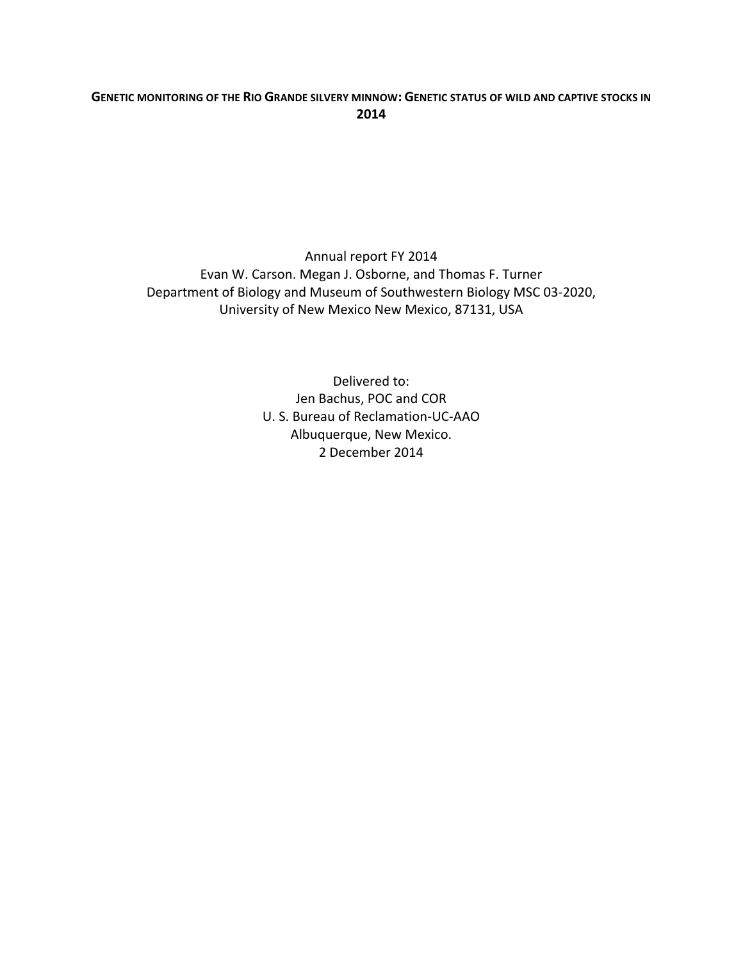# **GENETIC'MONITORING'OF THE'RIO'GRANDE'SILVERY'MINNOW: GENETIC'STATUS'OF'WILD'AND'CAPTIVE'STOCKS'IN' 2014**

Annual report FY 2014 Evan W. Carson. Megan J. Osborne, and Thomas F. Turner Department of Biology and Museum of Southwestern Biology MSC 03-2020, University of New Mexico New Mexico, 87131, USA

> Delivered to: Jen Bachus, POC and COR U. S. Bureau of Reclamation-UC-AAO Albuquerque, New Mexico. 2 December 2014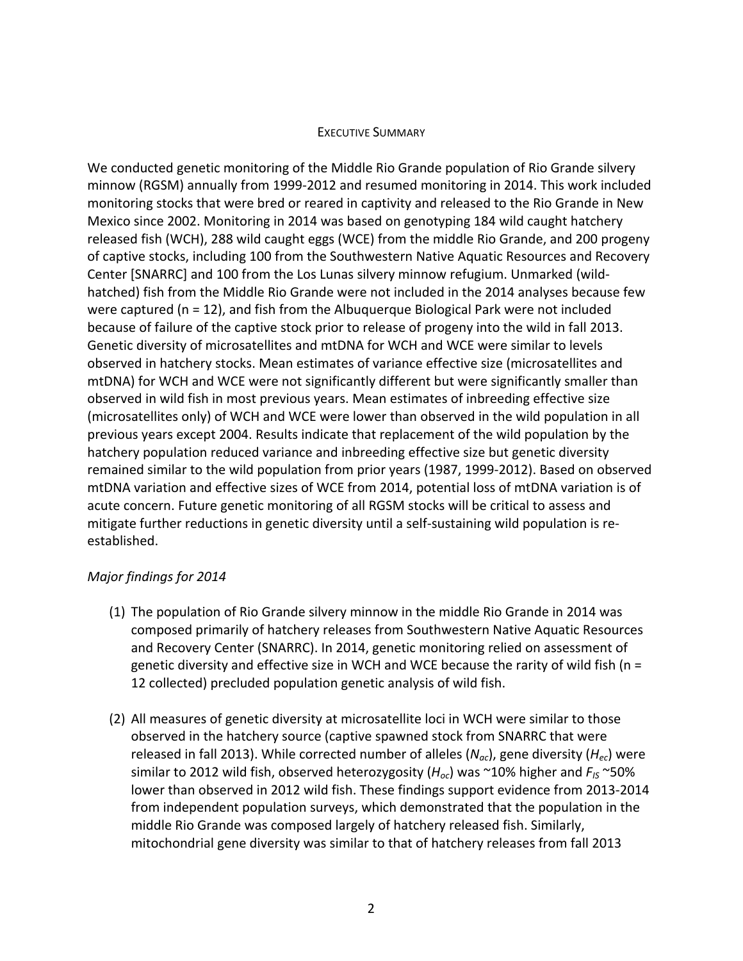### **EXECUTIVE SUMMARY**

We conducted genetic monitoring of the Middle Rio Grande population of Rio Grande silvery minnow (RGSM) annually from 1999-2012 and resumed monitoring in 2014. This work included monitoring stocks that were bred or reared in captivity and released to the Rio Grande in New Mexico since 2002. Monitoring in 2014 was based on genotyping 184 wild caught hatchery released fish (WCH), 288 wild caught eggs (WCE) from the middle Rio Grande, and 200 progeny of captive stocks, including 100 from the Southwestern Native Aquatic Resources and Recovery Center [SNARRC] and 100 from the Los Lunas silvery minnow refugium. Unmarked (wildhatched) fish from the Middle Rio Grande were not included in the 2014 analyses because few were captured ( $n = 12$ ), and fish from the Albuquerque Biological Park were not included because of failure of the captive stock prior to release of progeny into the wild in fall 2013. Genetic diversity of microsatellites and mtDNA for WCH and WCE were similar to levels observed in hatchery stocks. Mean estimates of variance effective size (microsatellites and mtDNA) for WCH and WCE were not significantly different but were significantly smaller than observed in wild fish in most previous years. Mean estimates of inbreeding effective size (microsatellites only) of WCH and WCE were lower than observed in the wild population in all previous years except 2004. Results indicate that replacement of the wild population by the hatchery population reduced variance and inbreeding effective size but genetic diversity remained similar to the wild population from prior years (1987, 1999-2012). Based on observed mtDNA variation and effective sizes of WCE from 2014, potential loss of mtDNA variation is of acute concern. Future genetic monitoring of all RGSM stocks will be critical to assess and mitigate further reductions in genetic diversity until a self-sustaining wild population is reestablished.!

# *Major findings for 2014*

- (1) The population of Rio Grande silvery minnow in the middle Rio Grande in 2014 was composed primarily of hatchery releases from Southwestern Native Aquatic Resources and Recovery Center (SNARRC). In 2014, genetic monitoring relied on assessment of genetic diversity and effective size in WCH and WCE because the rarity of wild fish (n = 12 collected) precluded population genetic analysis of wild fish.
- (2) All measures of genetic diversity at microsatellite loci in WCH were similar to those observed in the hatchery source (captive spawned stock from SNARRC that were released in fall 2013). While corrected number of alleles ( $N_{ac}$ ), gene diversity ( $H_{ec}$ ) were similar to 2012 wild fish, observed heterozygosity ( $H_{oc}$ ) was ~10% higher and  $F_{IS}$  ~50% lower than observed in 2012 wild fish. These findings support evidence from 2013-2014 from independent population surveys, which demonstrated that the population in the middle Rio Grande was composed largely of hatchery released fish. Similarly, mitochondrial gene diversity was similar to that of hatchery releases from fall 2013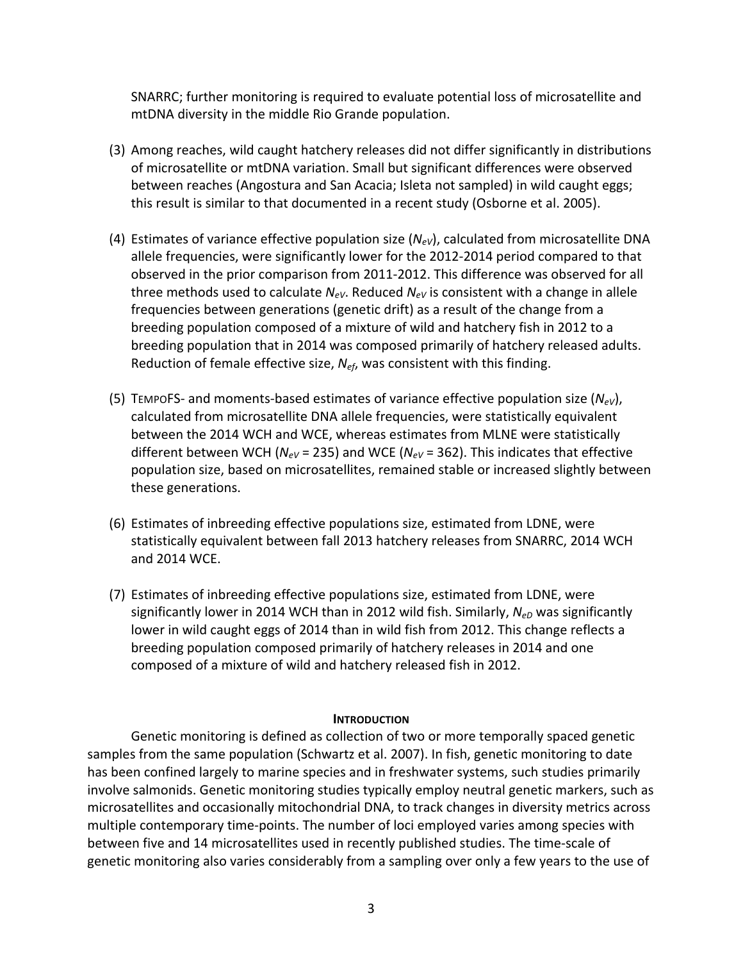SNARRC; further monitoring is required to evaluate potential loss of microsatellite and mtDNA diversity in the middle Rio Grande population.

- (3) Among reaches, wild caught hatchery releases did not differ significantly in distributions of microsatellite or mtDNA variation. Small but significant differences were observed between reaches (Angostura and San Acacia; Isleta not sampled) in wild caught eggs; this result is similar to that documented in a recent study (Osborne et al. 2005).
- (4) Estimates of variance effective population size  $(N_{eV})$ , calculated from microsatellite DNA allele frequencies, were significantly lower for the 2012-2014 period compared to that observed in the prior comparison from 2011-2012. This difference was observed for all three methods used to calculate  $N_{eV}$ . Reduced  $N_{eV}$  is consistent with a change in allele frequencies between generations (genetic drift) as a result of the change from a breeding population composed of a mixture of wild and hatchery fish in 2012 to a breeding population that in 2014 was composed primarily of hatchery released adults. Reduction of female effective size, *N<sub>ef*</sub>, was consistent with this finding.
- (5) TEMPOFS- and moments-based estimates of variance effective population size  $(N_{eV})$ , calculated from microsatellite DNA allele frequencies, were statistically equivalent between the 2014 WCH and WCE, whereas estimates from MLNE were statistically different between WCH ( $N_{eV}$  = 235) and WCE ( $N_{eV}$  = 362). This indicates that effective population size, based on microsatellites, remained stable or increased slightly between these generations.
- (6) Estimates of inbreeding effective populations size, estimated from LDNE, were statistically equivalent between fall 2013 hatchery releases from SNARRC, 2014 WCH and 2014 WCE.
- (7) Estimates of inbreeding effective populations size, estimated from LDNE, were significantly lower in 2014 WCH than in 2012 wild fish. Similarly, N<sub>eD</sub> was significantly lower in wild caught eggs of 2014 than in wild fish from 2012. This change reflects a breeding population composed primarily of hatchery releases in 2014 and one composed of a mixture of wild and hatchery released fish in 2012.

### **INTRODUCTION**

Genetic monitoring is defined as collection of two or more temporally spaced genetic samples from the same population (Schwartz et al. 2007). In fish, genetic monitoring to date has been confined largely to marine species and in freshwater systems, such studies primarily involve salmonids. Genetic monitoring studies typically employ neutral genetic markers, such as microsatellites and occasionally mitochondrial DNA, to track changes in diversity metrics across multiple contemporary time-points. The number of loci employed varies among species with between five and 14 microsatellites used in recently published studies. The time-scale of genetic monitoring also varies considerably from a sampling over only a few years to the use of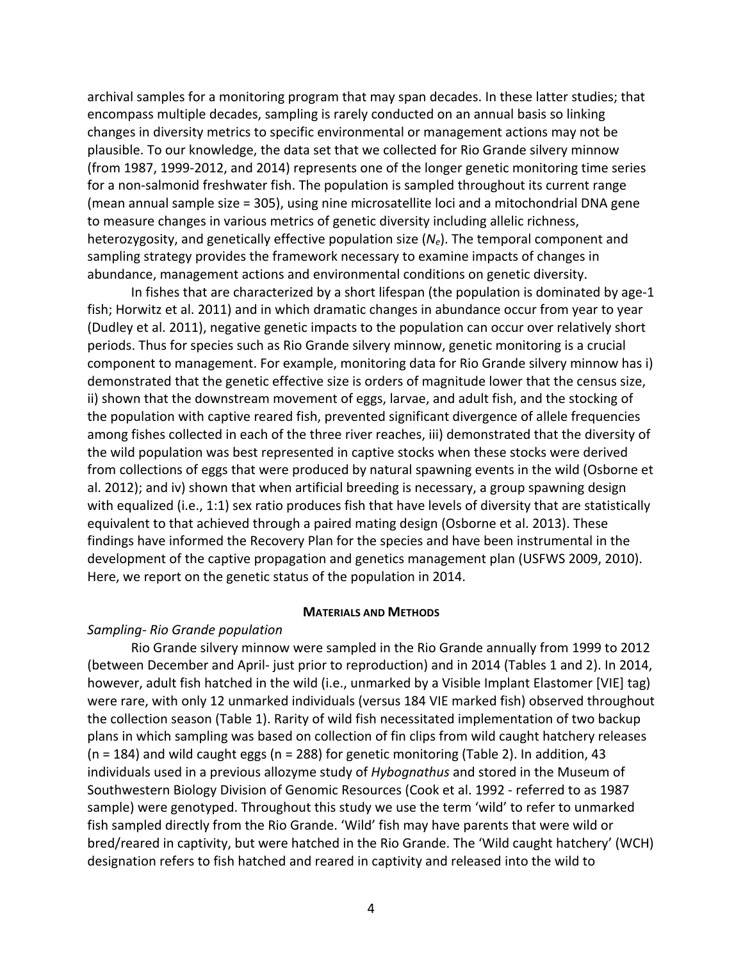archival samples for a monitoring program that may span decades. In these latter studies; that encompass multiple decades, sampling is rarely conducted on an annual basis so linking changes in diversity metrics to specific environmental or management actions may not be plausible. To our knowledge, the data set that we collected for Rio Grande silvery minnow (from 1987, 1999-2012, and 2014) represents one of the longer genetic monitoring time series for a non-salmonid freshwater fish. The population is sampled throughout its current range (mean annual sample size  $= 305$ ), using nine microsatellite loci and a mitochondrial DNA gene to measure changes in various metrics of genetic diversity including allelic richness, heterozygosity, and genetically effective population size  $(N_e)$ . The temporal component and sampling strategy provides the framework necessary to examine impacts of changes in abundance, management actions and environmental conditions on genetic diversity.

In fishes that are characterized by a short lifespan (the population is dominated by age-1 fish; Horwitz et al. 2011) and in which dramatic changes in abundance occur from year to year (Dudley et al. 2011), negative genetic impacts to the population can occur over relatively short periods. Thus for species such as Rio Grande silvery minnow, genetic monitoring is a crucial component to management. For example, monitoring data for Rio Grande silvery minnow has i) demonstrated that the genetic effective size is orders of magnitude lower that the census size, ii) shown that the downstream movement of eggs, larvae, and adult fish, and the stocking of the population with captive reared fish, prevented significant divergence of allele frequencies among fishes collected in each of the three river reaches, iii) demonstrated that the diversity of the wild population was best represented in captive stocks when these stocks were derived from collections of eggs that were produced by natural spawning events in the wild (Osborne et al. 2012); and iv) shown that when artificial breeding is necessary, a group spawning design with equalized (i.e., 1:1) sex ratio produces fish that have levels of diversity that are statistically equivalent to that achieved through a paired mating design (Osborne et al. 2013). These findings have informed the Recovery Plan for the species and have been instrumental in the development of the captive propagation and genetics management plan (USFWS 2009, 2010). Here, we report on the genetic status of the population in 2014.

### **MATERIALS AND METHODS**

### *Sampling= Rio&Grande&population*

Rio Grande silvery minnow were sampled in the Rio Grande annually from 1999 to 2012 (between December and April- just prior to reproduction) and in 2014 (Tables 1 and 2). In 2014, however, adult fish hatched in the wild (i.e., unmarked by a Visible Implant Elastomer [VIE] tag) were rare, with only 12 unmarked individuals (versus 184 VIE marked fish) observed throughout the collection season (Table 1). Rarity of wild fish necessitated implementation of two backup plans in which sampling was based on collection of fin clips from wild caught hatchery releases (n = 184) and wild caught eggs (n = 288) for genetic monitoring (Table 2). In addition, 43 individuals used in a previous allozyme study of *Hybognathus* and stored in the Museum of Southwestern Biology Division of Genomic Resources (Cook et al. 1992 - referred to as 1987 sample) were genotyped. Throughout this study we use the term 'wild' to refer to unmarked fish sampled directly from the Rio Grande. 'Wild' fish may have parents that were wild or bred/reared in captivity, but were hatched in the Rio Grande. The 'Wild caught hatchery' (WCH) designation refers to fish hatched and reared in captivity and released into the wild to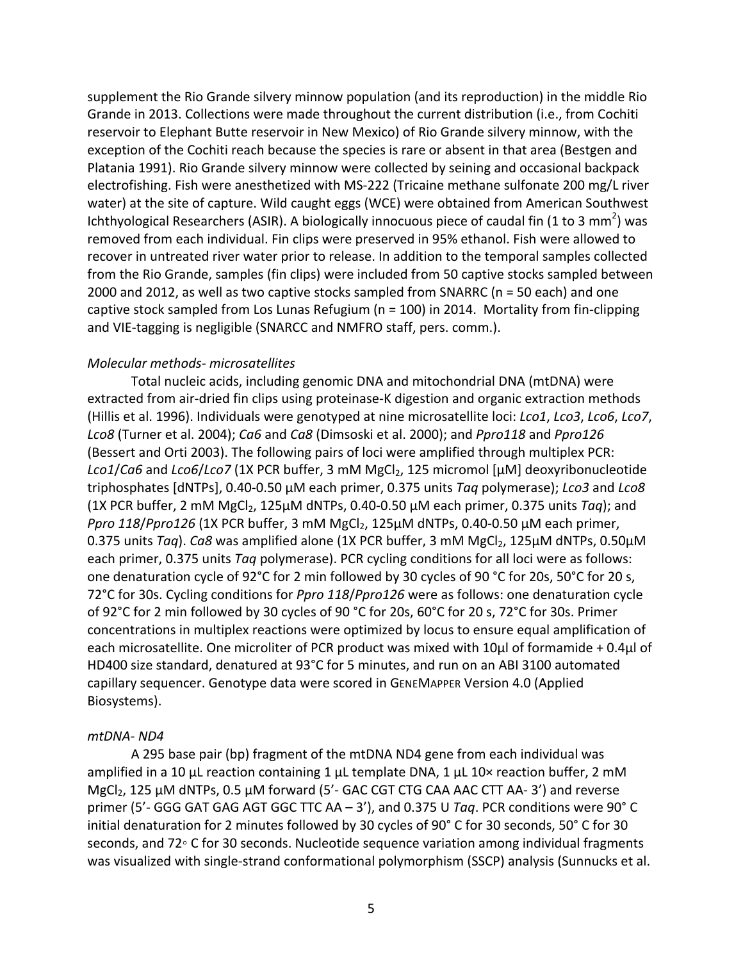supplement the Rio Grande silvery minnow population (and its reproduction) in the middle Rio Grande in 2013. Collections were made throughout the current distribution (i.e., from Cochiti reservoir to Elephant Butte reservoir in New Mexico) of Rio Grande silvery minnow, with the exception of the Cochiti reach because the species is rare or absent in that area (Bestgen and Platania 1991). Rio Grande silvery minnow were collected by seining and occasional backpack electrofishing. Fish were anesthetized with MS-222 (Tricaine methane sulfonate 200 mg/L river water) at the site of capture. Wild caught eggs (WCE) were obtained from American Southwest Ichthyological Researchers (ASIR). A biologically innocuous piece of caudal fin (1 to 3 mm<sup>2</sup>) was removed from each individual. Fin clips were preserved in 95% ethanol. Fish were allowed to recover in untreated river water prior to release. In addition to the temporal samples collected from the Rio Grande, samples (fin clips) were included from 50 captive stocks sampled between 2000 and 2012, as well as two captive stocks sampled from SNARRC (n = 50 each) and one captive stock sampled from Los Lunas Refugium (n = 100) in 2014. Mortality from fin-clipping and VIE-tagging is negligible (SNARCC and NMFRO staff, pers. comm.).

## *Molecular&methods= microsatellites*

Total nucleic acids, including genomic DNA and mitochondrial DNA (mtDNA) were extracted from air-dried fin clips using proteinase-K digestion and organic extraction methods (Hillis!et!al.!1996).!Individuals!were!genotyped!at!nine!microsatellite!loci:!*Lco1*,!*Lco3*,!*Lco6*,!*Lco7*,! *Lco8* (Turner et al. 2004); *Ca6* and *Ca8* (Dimsoski et al. 2000); and *Ppro118* and *Ppro126* (Bessert and Orti 2003). The following pairs of loci were amplified through multiplex PCR: *Lco1/Ca6* and *Lco6/Lco7* (1X PCR buffer, 3 mM MgCl<sub>2</sub>, 125 micromol [μM] deoxyribonucleotide triphosphates [dNTPs], 0.40-0.50 μM each primer, 0.375 units *Taq* polymerase); *Lco3* and *Lco8* (1X PCR buffer, 2 mM MgCl<sub>2</sub>, 125μM dNTPs, 0.40-0.50 μM each primer, 0.375 units *Taq*); and *Ppro 118/Ppro126* (1X PCR buffer, 3 mM MgCl<sub>2</sub>, 125μM dNTPs, 0.40-0.50 μM each primer, 0.375 units *Taq*). *Ca8* was amplified alone (1X PCR buffer, 3 mM MgCl<sub>2</sub>, 125μM dNTPs, 0.50μM each primer, 0.375 units *Taq* polymerase). PCR cycling conditions for all loci were as follows: one denaturation cycle of 92°C for 2 min followed by 30 cycles of 90 °C for 20s, 50°C for 20 s, 72°C for 30s. Cycling conditions for *Ppro 118/Ppro126* were as follows: one denaturation cycle of 92°C for 2 min followed by 30 cycles of 90 °C for 20s, 60°C for 20 s, 72°C for 30s. Primer concentrations in multiplex reactions were optimized by locus to ensure equal amplification of each microsatellite. One microliter of PCR product was mixed with 10μl of formamide + 0.4μl of HD400 size standard, denatured at 93°C for 5 minutes, and run on an ABI 3100 automated capillary sequencer. Genotype data were scored in GENEMAPPER Version 4.0 (Applied Biosystems).

### *mtDNA= ND4*

A 295 base pair (bp) fragment of the mtDNA ND4 gene from each individual was amplified in a 10  $\mu$ L reaction containing 1  $\mu$ L template DNA, 1  $\mu$ L 10× reaction buffer, 2 mM  $MgCl<sub>2</sub>$ , 125  $\mu$ M dNTPs, 0.5  $\mu$ M forward (5'- GAC CGT CTG CAA AAC CTT AA-3') and reverse primer (5'- GGG GAT GAG AGT GGC TTC AA – 3'), and 0.375 U Taq. PCR conditions were 90° C initial denaturation for 2 minutes followed by 30 cycles of 90° C for 30 seconds, 50° C for 30 seconds, and 72° C for 30 seconds. Nucleotide sequence variation among individual fragments was visualized with single-strand conformational polymorphism (SSCP) analysis (Sunnucks et al.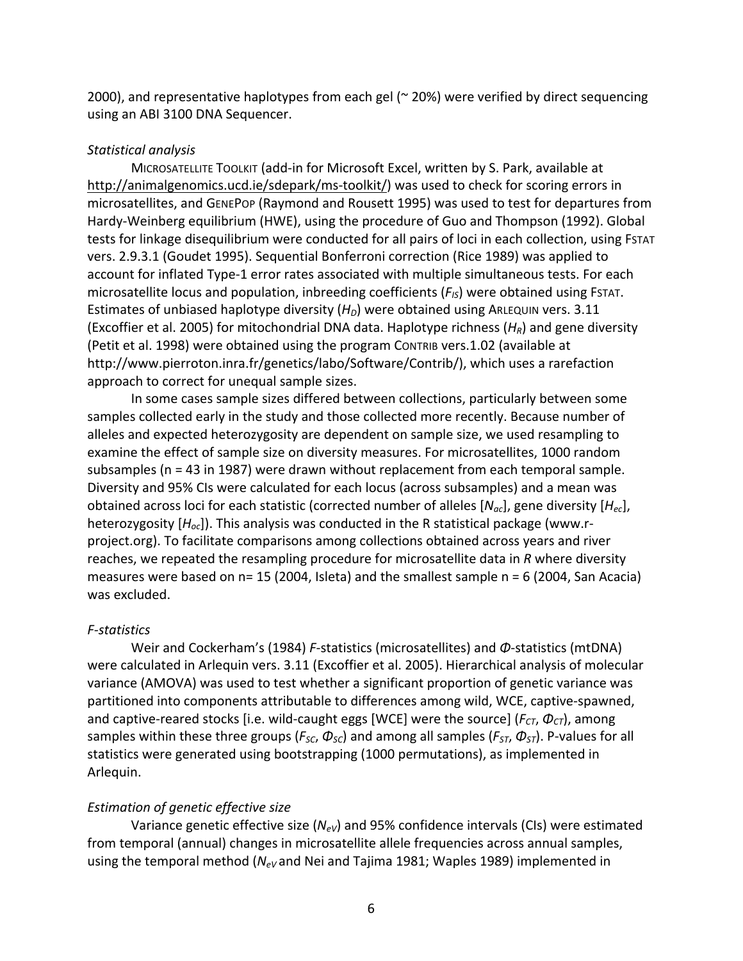2000), and representative haplotypes from each gel ( $\approx$  20%) were verified by direct sequencing using an ABI 3100 DNA Sequencer.

### *Statistical&analysis*

MICROSATELLITE TOOLKIT (add-in for Microsoft Excel, written by S. Park, available at http://animalgenomics.ucd.ie/sdepark/ms-toolkit/) was used to check for scoring errors in microsatellites, and GENEPOP (Raymond and Rousett 1995) was used to test for departures from Hardy-Weinberg equilibrium (HWE), using the procedure of Guo and Thompson (1992). Global tests for linkage disequilibrium were conducted for all pairs of loci in each collection, using FSTAT vers. 2.9.3.1 (Goudet 1995). Sequential Bonferroni correction (Rice 1989) was applied to account for inflated Type-1 error rates associated with multiple simultaneous tests. For each microsatellite locus and population, inbreeding coefficients ( $F_{IS}$ ) were obtained using FSTAT. Estimates of unbiased haplotype diversity (*H<sub>D</sub>*) were obtained using ARLEQUIN vers. 3.11 (Excoffier et al. 2005) for mitochondrial DNA data. Haplotype richness ( $H_R$ ) and gene diversity (Petit et al. 1998) were obtained using the program CONTRIB vers.1.02 (available at http://www.pierroton.inra.fr/genetics/labo/Software/Contrib/), which uses a rarefaction approach to correct for unequal sample sizes.

In some cases sample sizes differed between collections, particularly between some samples collected early in the study and those collected more recently. Because number of alleles and expected heterozygosity are dependent on sample size, we used resampling to examine the effect of sample size on diversity measures. For microsatellites, 1000 random subsamples ( $n = 43$  in 1987) were drawn without replacement from each temporal sample. Diversity and 95% CIs were calculated for each locus (across subsamples) and a mean was obtained across loci for each statistic (corrected number of alleles  $[N_{ac}]$ , gene diversity  $[H_{ec}]$ , heterozygosity [H<sub>oc</sub>]). This analysis was conducted in the R statistical package (www.rproject.org). To facilitate comparisons among collections obtained across years and river reaches, we repeated the resampling procedure for microsatellite data in *R* where diversity measures were based on  $n= 15$  (2004, Isleta) and the smallest sample  $n = 6$  (2004, San Acacia) was excluded.

### *F=statistics*

Weir and Cockerham's (1984) *F*-statistics (microsatellites) and *Φ*-statistics (mtDNA) were calculated in Arlequin vers. 3.11 (Excoffier et al. 2005). Hierarchical analysis of molecular variance (AMOVA) was used to test whether a significant proportion of genetic variance was partitioned into components attributable to differences among wild, WCE, captive-spawned, and captive-reared stocks [i.e. wild-caught eggs [WCE] were the source] (*F<sub>CT</sub>*, Φ<sub>CT</sub>), among samples within these three groups ( $F_{SC}$ ,  $\Phi_{SC}$ ) and among all samples ( $F_{ST}$ ,  $\Phi_{ST}$ ). P-values for all statistics were generated using bootstrapping (1000 permutations), as implemented in Arlequin.

### **Estimation of genetic effective size**

Variance genetic effective size (*N<sub>eV</sub>*) and 95% confidence intervals (CIs) were estimated from temporal (annual) changes in microsatellite allele frequencies across annual samples, using the temporal method ( $N_{eV}$ and Nei and Tajima 1981; Waples 1989) implemented in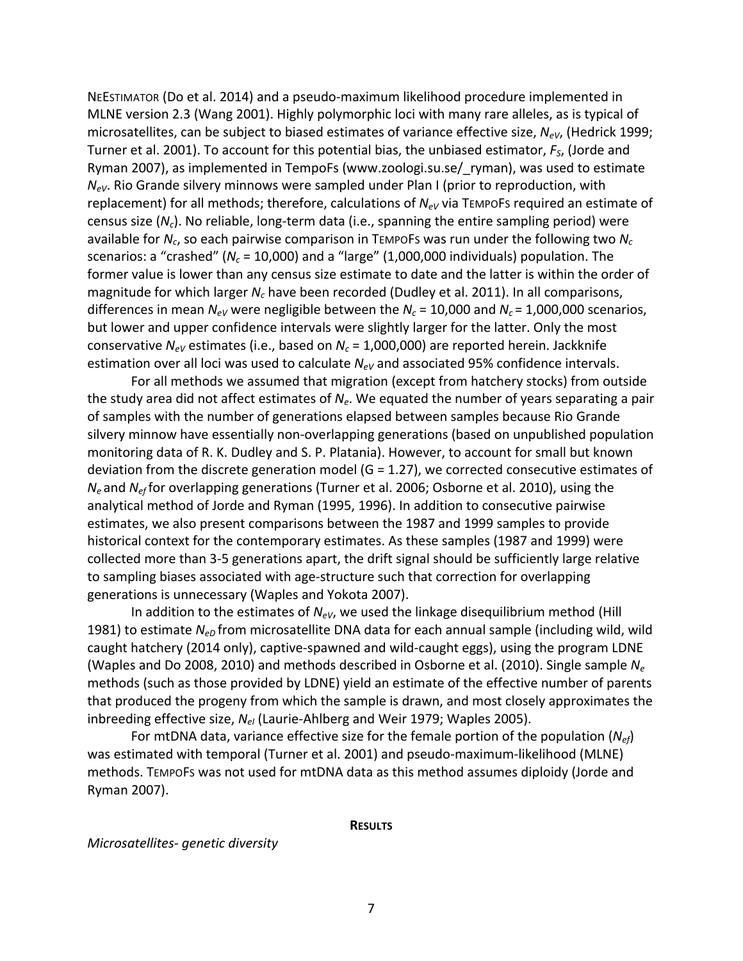NEESTIMATOR (Do et al. 2014) and a pseudo-maximum likelihood procedure implemented in MLNE version 2.3 (Wang 2001). Highly polymorphic loci with many rare alleles, as is typical of microsatellites, can be subject to biased estimates of variance effective size, *N<sub>eV</sub>*, (Hedrick 1999; Turner et al. 2001). To account for this potential bias, the unbiased estimator,  $F_S$ , (Jorde and Ryman 2007), as implemented in TempoFs (www.zoologi.su.se/ ryman), was used to estimate *N<sub>eV</sub>*. Rio Grande silvery minnows were sampled under Plan I (prior to reproduction, with replacement) for all methods; therefore, calculations of *N<sub>eV</sub>* via TEMPOFs required an estimate of census size (N<sub>c</sub>). No reliable, long-term data (i.e., spanning the entire sampling period) were available for *N<sub>c</sub>*, so each pairwise comparison in TEMPOFS was run under the following two *N<sub>c</sub>* scenarios: a "crashed" ( $N_c$  = 10,000) and a "large" (1,000,000 individuals) population. The former value is lower than any census size estimate to date and the latter is within the order of magnitude for which larger *N<sub>c</sub>* have been recorded (Dudley et al. 2011). In all comparisons, differences in mean  $N_{eV}$  were negligible between the  $N_c$  = 10,000 and  $N_c$  = 1,000,000 scenarios, but lower and upper confidence intervals were slightly larger for the latter. Only the most conservative  $N_{eV}$  estimates (i.e., based on  $N_c$  = 1,000,000) are reported herein. Jackknife estimation over all loci was used to calculate *N<sub>eV</sub>* and associated 95% confidence intervals.

For all methods we assumed that migration (except from hatchery stocks) from outside the study area did not affect estimates of  $N_e$ . We equated the number of years separating a pair of samples with the number of generations elapsed between samples because Rio Grande silvery minnow have essentially non-overlapping generations (based on unpublished population monitoring data of R. K. Dudley and S. P. Platania). However, to account for small but known deviation from the discrete generation model (G = 1.27), we corrected consecutive estimates of *N<sub>e</sub>* and *N<sub>ef</sub>* for overlapping generations (Turner et al. 2006; Osborne et al. 2010), using the analytical method of Jorde and Ryman (1995, 1996). In addition to consecutive pairwise estimates, we also present comparisons between the 1987 and 1999 samples to provide historical context for the contemporary estimates. As these samples (1987 and 1999) were collected more than 3-5 generations apart, the drift signal should be sufficiently large relative to sampling biases associated with age-structure such that correction for overlapping generations is unnecessary (Waples and Yokota 2007).

In addition to the estimates of  $N_{eV}$ , we used the linkage disequilibrium method (Hill 1981) to estimate *N<sub>eD</sub>* from microsatellite DNA data for each annual sample (including wild, wild caught hatchery (2014 only), captive-spawned and wild-caught eggs), using the program LDNE (Waples and Do 2008, 2010) and methods described in Osborne et al. (2010). Single sample N<sub>e</sub> methods (such as those provided by LDNE) yield an estimate of the effective number of parents that produced the progeny from which the sample is drawn, and most closely approximates the inbreeding effective size, *N<sub>eI</sub>* (Laurie-Ahlberg and Weir 1979; Waples 2005).

For mtDNA data, variance effective size for the female portion of the population ( $N_{ef}$ ) was estimated with temporal (Turner et al. 2001) and pseudo-maximum-likelihood (MLNE) methods. TEMPOFS was not used for mtDNA data as this method assumes diploidy (Jorde and Ryman!2007).

#### **RESULTS**

*Microsatellites-genetic diversity*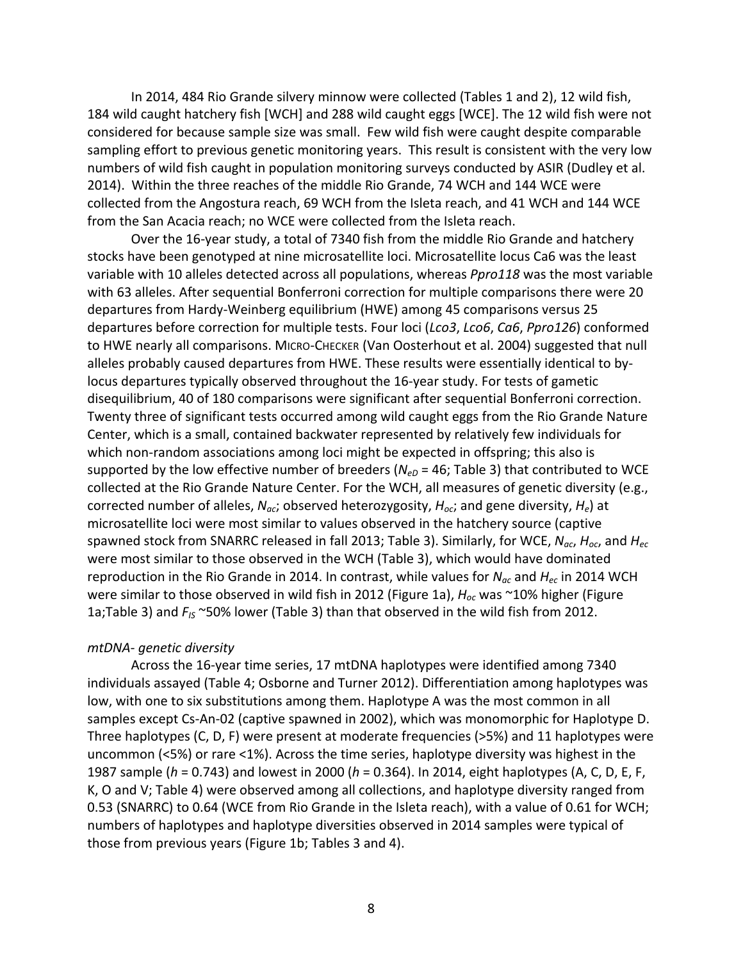In 2014, 484 Rio Grande silvery minnow were collected (Tables 1 and 2), 12 wild fish, 184 wild caught hatchery fish [WCH] and 288 wild caught eggs [WCE]. The 12 wild fish were not considered for because sample size was small. Few wild fish were caught despite comparable sampling effort to previous genetic monitoring years. This result is consistent with the very low numbers of wild fish caught in population monitoring surveys conducted by ASIR (Dudley et al. 2014). Within the three reaches of the middle Rio Grande, 74 WCH and 144 WCE were collected from the Angostura reach, 69 WCH from the Isleta reach, and 41 WCH and 144 WCE from the San Acacia reach; no WCE were collected from the Isleta reach.

Over the 16-year study, a total of 7340 fish from the middle Rio Grande and hatchery stocks have been genotyped at nine microsatellite loci. Microsatellite locus Ca6 was the least variable with 10 alleles detected across all populations, whereas *Ppro118* was the most variable with 63 alleles. After sequential Bonferroni correction for multiple comparisons there were 20 departures from Hardy-Weinberg equilibrium (HWE) among 45 comparisons versus 25 departures before correction for multiple tests. Four loci (*Lco3*, *Lco6*, *Ca6*, *Ppro126*) conformed to HWE nearly all comparisons. MICRO-CHECKER (Van Oosterhout et al. 2004) suggested that null alleles probably caused departures from HWE. These results were essentially identical to bylocus departures typically observed throughout the 16-year study. For tests of gametic disequilibrium, 40 of 180 comparisons were significant after sequential Bonferroni correction. Twenty three of significant tests occurred among wild caught eggs from the Rio Grande Nature Center, which is a small, contained backwater represented by relatively few individuals for which non-random associations among loci might be expected in offspring; this also is supported by the low effective number of breeders ( $N_{eD}$  = 46; Table 3) that contributed to WCE collected at the Rio Grande Nature Center. For the WCH, all measures of genetic diversity (e.g., corrected number of alleles,  $N_{ac}$ ; observed heterozygosity,  $H_{oc}$ ; and gene diversity,  $H_e$ ) at microsatellite loci were most similar to values observed in the hatchery source (captive spawned stock from SNARRC released in fall 2013; Table 3). Similarly, for WCE,  $N_{ac}$ ,  $H_{oc}$ , and  $H_{ec}$ were most similar to those observed in the WCH (Table 3), which would have dominated reproduction in the Rio Grande in 2014. In contrast, while values for  $N_{ac}$  and  $H_{ec}$  in 2014 WCH were similar to those observed in wild fish in 2012 (Figure 1a),  $H_{oc}$  was ~10% higher (Figure 1a;Table 3) and *F<sub>IS</sub>* ~50% lower (Table 3) than that observed in the wild fish from 2012.

### *mtDNA- genetic diversity*

Across the 16-year time series, 17 mtDNA haplotypes were identified among 7340 individuals assayed (Table 4; Osborne and Turner 2012). Differentiation among haplotypes was low, with one to six substitutions among them. Haplotype A was the most common in all samples except Cs-An-02 (captive spawned in 2002), which was monomorphic for Haplotype D. Three haplotypes (C, D, F) were present at moderate frequencies (>5%) and 11 haplotypes were uncommon (<5%) or rare <1%). Across the time series, haplotype diversity was highest in the 1987 sample (*h* = 0.743) and lowest in 2000 (*h* = 0.364). In 2014, eight haplotypes (A, C, D, E, F, K, O and V; Table 4) were observed among all collections, and haplotype diversity ranged from 0.53 (SNARRC) to 0.64 (WCE from Rio Grande in the Isleta reach), with a value of 0.61 for WCH; numbers of haplotypes and haplotype diversities observed in 2014 samples were typical of those from previous years (Figure 1b; Tables 3 and 4).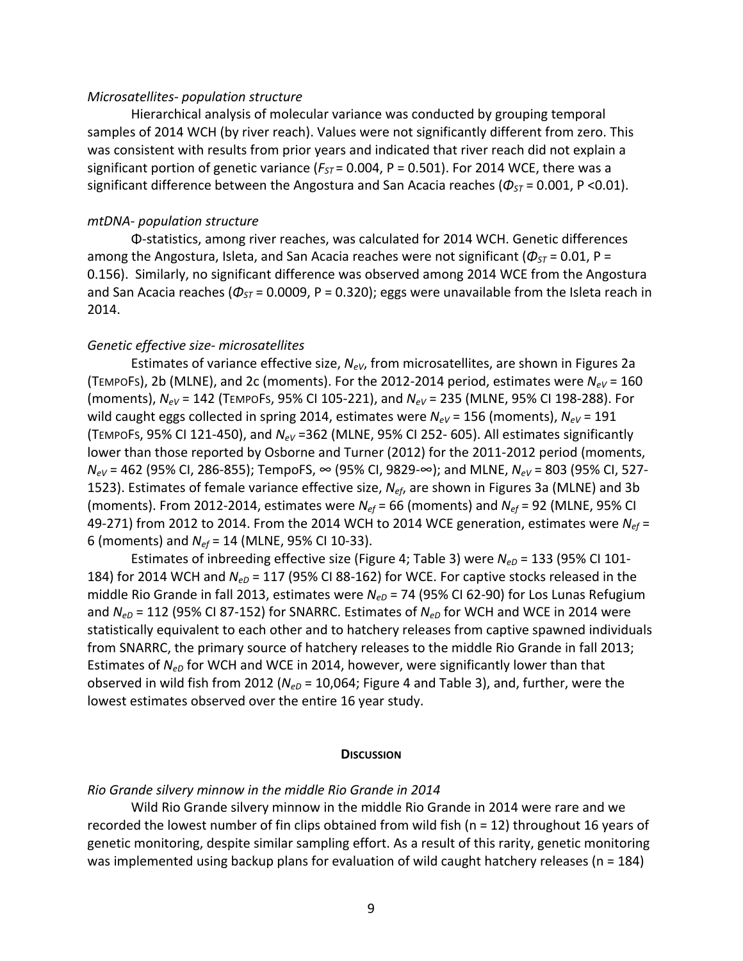#### *Microsatellites= population&structure&*

Hierarchical analysis of molecular variance was conducted by grouping temporal samples of 2014 WCH (by river reach). Values were not significantly different from zero. This was consistent with results from prior years and indicated that river reach did not explain a significant portion of genetic variance ( $F_{ST}$  = 0.004, P = 0.501). For 2014 WCE, there was a significant difference between the Angostura and San Acacia reaches ( $\Phi_{ST}$  = 0.001, P <0.01).

#### *mtDNA= population&structure*

Φ-statistics, among river reaches, was calculated for 2014 WCH. Genetic differences among the Angostura, Isleta, and San Acacia reaches were not significant ( $\Phi_{ST}$  = 0.01, P = 0.156). Similarly, no significant difference was observed among 2014 WCE from the Angostura and San Acacia reaches ( $\Phi_{ST}$  = 0.0009, P = 0.320); eggs were unavailable from the Isleta reach in 2014.

#### *Genetic&effective&size= microsatellites*

Estimates of variance effective size, *N<sub>eV</sub>*, from microsatellites, are shown in Figures 2a (TEMPOFS), 2b (MLNE), and 2c (moments). For the 2012-2014 period, estimates were  $N_{eV}$  = 160 (moments),  $N_{eV}$  = 142 (TEMPOFs, 95% CI 105-221), and  $N_{eV}$  = 235 (MLNE, 95% CI 198-288). For wild caught eggs collected in spring 2014, estimates were  $N_{eV}$  = 156 (moments),  $N_{eV}$  = 191 (TEMPOFS, 95% CI 121-450), and *N<sub>eV</sub>* =362 (MLNE, 95% CI 252-605). All estimates significantly lower than those reported by Osborne and Turner (2012) for the 2011-2012 period (moments, *N<sub>eV</sub>* = 462 (95% CI, 286-855); TempoFS, ∞ (95% CI, 9829-∞); and MLNE, *N<sub>eV</sub>* = 803 (95% CI, 527-1523). Estimates of female variance effective size, *N<sub>ef</sub>*, are shown in Figures 3a (MLNE) and 3b (moments). From 2012-2014, estimates were  $N_{ef}$  = 66 (moments) and  $N_{ef}$  = 92 (MLNE, 95% CI 49-271) from 2012 to 2014. From the 2014 WCH to 2014 WCE generation, estimates were  $N_{ef}$  = 6 (moments) and  $N_{ef}$  = 14 (MLNE, 95% CI 10-33).

Estimates of inbreeding effective size (Figure 4; Table 3) were  $N_{eD}$  = 133 (95% CI 101-184) for 2014 WCH and  $N_{eD}$  = 117 (95% CI 88-162) for WCE. For captive stocks released in the middle Rio Grande in fall 2013, estimates were *N<sub>eD</sub>* = 74 (95% CI 62-90) for Los Lunas Refugium and *N<sub>eD</sub>* = 112 (95% CI 87-152) for SNARRC. Estimates of *N<sub>eD</sub>* for WCH and WCE in 2014 were statistically equivalent to each other and to hatchery releases from captive spawned individuals from SNARRC, the primary source of hatchery releases to the middle Rio Grande in fall 2013; Estimates of *N<sub>eD</sub>* for WCH and WCE in 2014, however, were significantly lower than that observed in wild fish from 2012 ( $N_{eD}$  = 10,064; Figure 4 and Table 3), and, further, were the lowest estimates observed over the entire 16 year study.

#### **DISCUSSION**

### *Rio&Grande&silvery&minnow&in&the&middle&Rio&Grande&in&2014*

Wild Rio Grande silvery minnow in the middle Rio Grande in 2014 were rare and we recorded the lowest number of fin clips obtained from wild fish (n = 12) throughout 16 years of genetic monitoring, despite similar sampling effort. As a result of this rarity, genetic monitoring was implemented using backup plans for evaluation of wild caught hatchery releases (n = 184)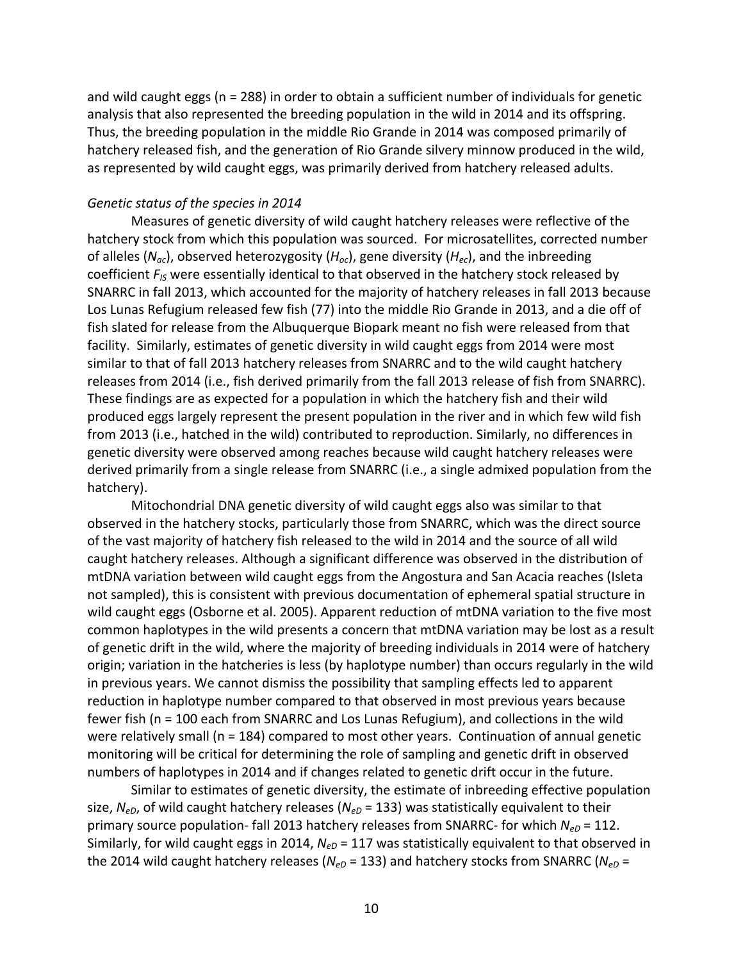and wild caught eggs (n = 288) in order to obtain a sufficient number of individuals for genetic analysis that also represented the breeding population in the wild in 2014 and its offspring. Thus, the breeding population in the middle Rio Grande in 2014 was composed primarily of hatchery released fish, and the generation of Rio Grande silvery minnow produced in the wild, as represented by wild caught eggs, was primarily derived from hatchery released adults.

## Genetic status of the species in 2014

Measures of genetic diversity of wild caught hatchery releases were reflective of the hatchery stock from which this population was sourced. For microsatellites, corrected number of alleles ( $N_{ac}$ ), observed heterozygosity ( $H_{oc}$ ), gene diversity ( $H_{ec}$ ), and the inbreeding coefficient  $F_{IS}$  were essentially identical to that observed in the hatchery stock released by SNARRC in fall 2013, which accounted for the majority of hatchery releases in fall 2013 because Los Lunas Refugium released few fish (77) into the middle Rio Grande in 2013, and a die off of fish slated for release from the Albuquerque Biopark meant no fish were released from that facility. Similarly, estimates of genetic diversity in wild caught eggs from 2014 were most similar to that of fall 2013 hatchery releases from SNARRC and to the wild caught hatchery releases from 2014 (i.e., fish derived primarily from the fall 2013 release of fish from SNARRC). These findings are as expected for a population in which the hatchery fish and their wild produced eggs largely represent the present population in the river and in which few wild fish from 2013 (i.e., hatched in the wild) contributed to reproduction. Similarly, no differences in genetic diversity were observed among reaches because wild caught hatchery releases were derived primarily from a single release from SNARRC (i.e., a single admixed population from the hatchery).

Mitochondrial DNA genetic diversity of wild caught eggs also was similar to that observed in the hatchery stocks, particularly those from SNARRC, which was the direct source of the vast majority of hatchery fish released to the wild in 2014 and the source of all wild caught hatchery releases. Although a significant difference was observed in the distribution of mtDNA variation between wild caught eggs from the Angostura and San Acacia reaches (Isleta not sampled), this is consistent with previous documentation of ephemeral spatial structure in wild caught eggs (Osborne et al. 2005). Apparent reduction of mtDNA variation to the five most common haplotypes in the wild presents a concern that mtDNA variation may be lost as a result of genetic drift in the wild, where the majority of breeding individuals in 2014 were of hatchery origin; variation in the hatcheries is less (by haplotype number) than occurs regularly in the wild in previous years. We cannot dismiss the possibility that sampling effects led to apparent reduction in haplotype number compared to that observed in most previous years because fewer fish ( $n = 100$  each from SNARRC and Los Lunas Refugium), and collections in the wild were relatively small (n = 184) compared to most other years. Continuation of annual genetic monitoring will be critical for determining the role of sampling and genetic drift in observed numbers of haplotypes in 2014 and if changes related to genetic drift occur in the future.

Similar to estimates of genetic diversity, the estimate of inbreeding effective population size, N<sub>eD</sub>, of wild caught hatchery releases (N<sub>eD</sub> = 133) was statistically equivalent to their primary source population- fall 2013 hatchery releases from SNARRC- for which *N<sub>eD</sub>* = 112. Similarly, for wild caught eggs in 2014,  $N_{eD}$  = 117 was statistically equivalent to that observed in the 2014 wild caught hatchery releases ( $N_{eD}$  = 133) and hatchery stocks from SNARRC ( $N_{eD}$  =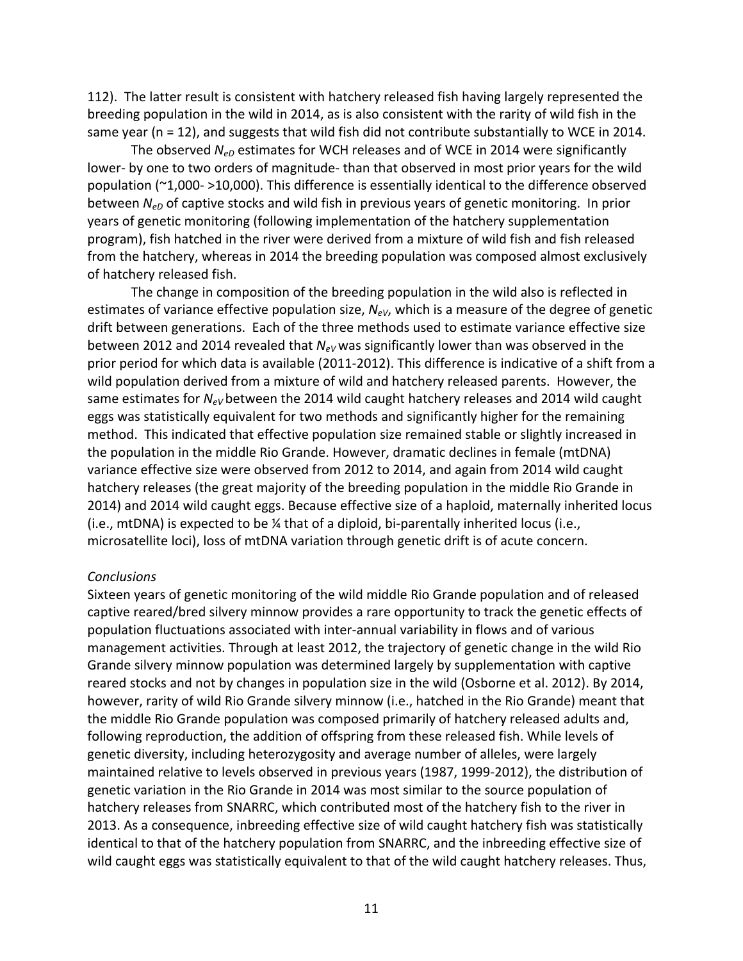112). The latter result is consistent with hatchery released fish having largely represented the breeding population in the wild in 2014, as is also consistent with the rarity of wild fish in the same year ( $n = 12$ ), and suggests that wild fish did not contribute substantially to WCE in 2014.

The observed  $N_{eD}$  estimates for WCH releases and of WCE in 2014 were significantly lower- by one to two orders of magnitude- than that observed in most prior years for the wild population ( $\sim$ 1,000- $>$ 10,000). This difference is essentially identical to the difference observed between *N<sub>eD</sub>* of captive stocks and wild fish in previous years of genetic monitoring. In prior years of genetic monitoring (following implementation of the hatchery supplementation program), fish hatched in the river were derived from a mixture of wild fish and fish released from the hatchery, whereas in 2014 the breeding population was composed almost exclusively of hatchery released fish.

The change in composition of the breeding population in the wild also is reflected in estimates of variance effective population size,  $N_{eV}$ , which is a measure of the degree of genetic drift between generations. Each of the three methods used to estimate variance effective size between 2012 and 2014 revealed that  $N_{eV}$  was significantly lower than was observed in the prior period for which data is available (2011-2012). This difference is indicative of a shift from a wild population derived from a mixture of wild and hatchery released parents. However, the same estimates for *N<sub>eV</sub>* between the 2014 wild caught hatchery releases and 2014 wild caught eggs was statistically equivalent for two methods and significantly higher for the remaining method. This indicated that effective population size remained stable or slightly increased in the population in the middle Rio Grande. However, dramatic declines in female (mtDNA) variance effective size were observed from 2012 to 2014, and again from 2014 wild caught hatchery releases (the great majority of the breeding population in the middle Rio Grande in 2014) and 2014 wild caught eggs. Because effective size of a haploid, maternally inherited locus (i.e., mtDNA) is expected to be  $\frac{1}{4}$  that of a diploid, bi-parentally inherited locus (i.e., microsatellite loci), loss of mtDNA variation through genetic drift is of acute concern.

### *Conclusions*

Sixteen years of genetic monitoring of the wild middle Rio Grande population and of released captive reared/bred silvery minnow provides a rare opportunity to track the genetic effects of population fluctuations associated with inter-annual variability in flows and of various management activities. Through at least 2012, the trajectory of genetic change in the wild Rio Grande silvery minnow population was determined largely by supplementation with captive reared stocks and not by changes in population size in the wild (Osborne et al. 2012). By 2014, however, rarity of wild Rio Grande silvery minnow (i.e., hatched in the Rio Grande) meant that the middle Rio Grande population was composed primarily of hatchery released adults and, following reproduction, the addition of offspring from these released fish. While levels of genetic diversity, including heterozygosity and average number of alleles, were largely maintained relative to levels observed in previous years (1987, 1999-2012), the distribution of genetic variation in the Rio Grande in 2014 was most similar to the source population of hatchery releases from SNARRC, which contributed most of the hatchery fish to the river in 2013. As a consequence, inbreeding effective size of wild caught hatchery fish was statistically identical to that of the hatchery population from SNARRC, and the inbreeding effective size of wild caught eggs was statistically equivalent to that of the wild caught hatchery releases. Thus,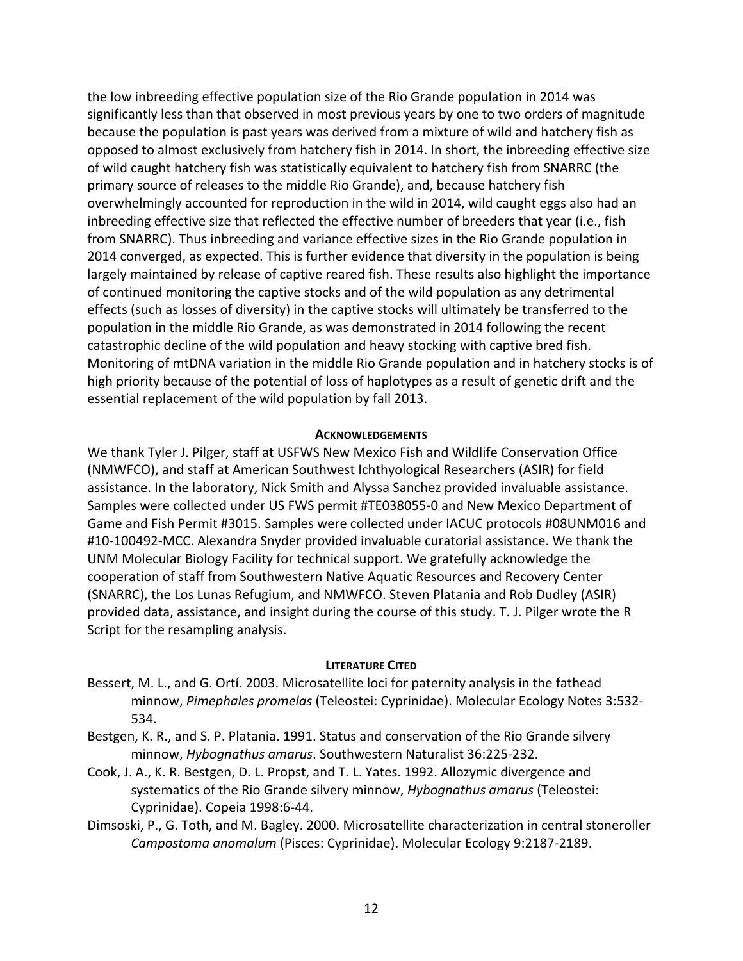the low inbreeding effective population size of the Rio Grande population in 2014 was significantly less than that observed in most previous years by one to two orders of magnitude because the population is past years was derived from a mixture of wild and hatchery fish as opposed to almost exclusively from hatchery fish in 2014. In short, the inbreeding effective size of wild caught hatchery fish was statistically equivalent to hatchery fish from SNARRC (the primary source of releases to the middle Rio Grande), and, because hatchery fish overwhelmingly accounted for reproduction in the wild in 2014, wild caught eggs also had an inbreeding effective size that reflected the effective number of breeders that year (i.e., fish from SNARRC). Thus inbreeding and variance effective sizes in the Rio Grande population in 2014 converged, as expected. This is further evidence that diversity in the population is being largely maintained by release of captive reared fish. These results also highlight the importance of continued monitoring the captive stocks and of the wild population as any detrimental effects (such as losses of diversity) in the captive stocks will ultimately be transferred to the population in the middle Rio Grande, as was demonstrated in 2014 following the recent catastrophic decline of the wild population and heavy stocking with captive bred fish. Monitoring of mtDNA variation in the middle Rio Grande population and in hatchery stocks is of high priority because of the potential of loss of haplotypes as a result of genetic drift and the essential replacement of the wild population by fall 2013.

### **ACKNOWLEDGEMENTS**

We thank Tyler J. Pilger, staff at USFWS New Mexico Fish and Wildlife Conservation Office (NMWFCO), and staff at American Southwest Ichthyological Researchers (ASIR) for field assistance. In the laboratory, Nick Smith and Alyssa Sanchez provided invaluable assistance. Samples were collected under US FWS permit #TE038055-0 and New Mexico Department of Game and Fish Permit #3015. Samples were collected under IACUC protocols #08UNM016 and #10-100492-MCC. Alexandra Snyder provided invaluable curatorial assistance. We thank the UNM Molecular Biology Facility for technical support. We gratefully acknowledge the cooperation of staff from Southwestern Native Aquatic Resources and Recovery Center (SNARRC), the Los Lunas Refugium, and NMWFCO. Steven Platania and Rob Dudley (ASIR) provided data, assistance, and insight during the course of this study. T. J. Pilger wrote the R Script for the resampling analysis.

### **LITERATURE CITED**

- Bessert, M. L., and G. Ortí. 2003. Microsatellite loci for paternity analysis in the fathead minnow, Pimephales promelas (Teleostei: Cyprinidae). Molecular Ecology Notes 3:532-534.
- Bestgen, K. R., and S. P. Platania. 1991. Status and conservation of the Rio Grande silvery minnow, *Hybognathus amarus*. Southwestern Naturalist 36:225-232.
- Cook, J. A., K. R. Bestgen, D. L. Propst, and T. L. Yates. 1992. Allozymic divergence and systematics of the Rio Grande silvery minnow, *Hybognathus amarus* (Teleostei: Cyprinidae). Copeia 1998:6-44.
- Dimsoski, P., G. Toth, and M. Bagley. 2000. Microsatellite characterization in central stoneroller Campostoma anomalum (Pisces: Cyprinidae). Molecular Ecology 9:2187-2189.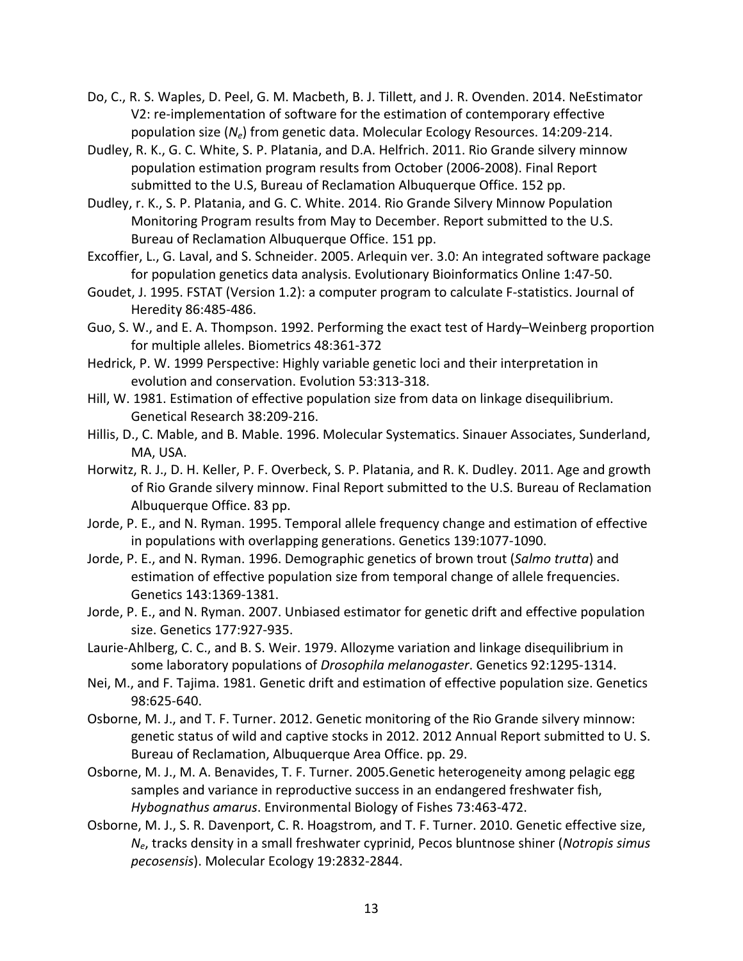- Do, C., R. S. Waples, D. Peel, G. M. Macbeth, B. J. Tillett, and J. R. Ovenden. 2014. NeEstimator V2: re-implementation of software for the estimation of contemporary effective population size (*N<sub>e</sub>*) from genetic data. Molecular Ecology Resources. 14:209-214.
- Dudley, R. K., G. C. White, S. P. Platania, and D.A. Helfrich. 2011. Rio Grande silvery minnow population estimation program results from October (2006-2008). Final Report submitted to the U.S, Bureau of Reclamation Albuquerque Office. 152 pp.
- Dudley, r. K., S. P. Platania, and G. C. White. 2014. Rio Grande Silvery Minnow Population Monitoring Program results from May to December. Report submitted to the U.S. Bureau of Reclamation Albuquerque Office. 151 pp.
- Excoffier, L., G. Laval, and S. Schneider. 2005. Arlequin ver. 3.0: An integrated software package for population genetics data analysis. Evolutionary Bioinformatics Online 1:47-50.
- Goudet, J. 1995. FSTAT (Version 1.2): a computer program to calculate F-statistics. Journal of Heredity 86:485-486.
- Guo, S. W., and E. A. Thompson. 1992. Performing the exact test of Hardy–Weinberg proportion for multiple alleles. Biometrics 48:361-372
- Hedrick, P. W. 1999 Perspective: Highly variable genetic loci and their interpretation in evolution and conservation. Evolution 53:313-318.
- Hill, W. 1981. Estimation of effective population size from data on linkage disequilibrium. Genetical Research 38:209-216.
- Hillis, D., C. Mable, and B. Mable. 1996. Molecular Systematics. Sinauer Associates, Sunderland, MA, USA.
- Horwitz, R. J., D. H. Keller, P. F. Overbeck, S. P. Platania, and R. K. Dudley. 2011. Age and growth of Rio Grande silvery minnow. Final Report submitted to the U.S. Bureau of Reclamation Albuquerque Office. 83 pp.
- Jorde, P. E., and N. Ryman. 1995. Temporal allele frequency change and estimation of effective in populations with overlapping generations. Genetics 139:1077-1090.
- Jorde, P. E., and N. Ryman. 1996. Demographic genetics of brown trout (*Salmo trutta*) and estimation of effective population size from temporal change of allele frequencies. Genetics 143:1369-1381.
- Jorde, P. E., and N. Ryman. 2007. Unbiased estimator for genetic drift and effective population size. Genetics 177:927-935.
- Laurie-Ahlberg, C. C., and B. S. Weir. 1979. Allozyme variation and linkage disequilibrium in some laboratory populations of *Drosophila melanogaster*. Genetics 92:1295-1314.
- Nei, M., and F. Tajima. 1981. Genetic drift and estimation of effective population size. Genetics 98:625-640.
- Osborne, M. J., and T. F. Turner. 2012. Genetic monitoring of the Rio Grande silvery minnow: genetic status of wild and captive stocks in 2012. 2012 Annual Report submitted to U. S. Bureau of Reclamation, Albuquerque Area Office. pp. 29.
- Osborne, M. J., M. A. Benavides, T. F. Turner. 2005.Genetic heterogeneity among pelagic egg samples and variance in reproductive success in an endangered freshwater fish, Hybognathus amarus. Environmental Biology of Fishes 73:463-472.
- Osborne, M. J., S. R. Davenport, C. R. Hoagstrom, and T. F. Turner. 2010. Genetic effective size,  $N_e$ , tracks density in a small freshwater cyprinid, Pecos bluntnose shiner (*Notropis simus* pecosensis). Molecular Ecology 19:2832-2844.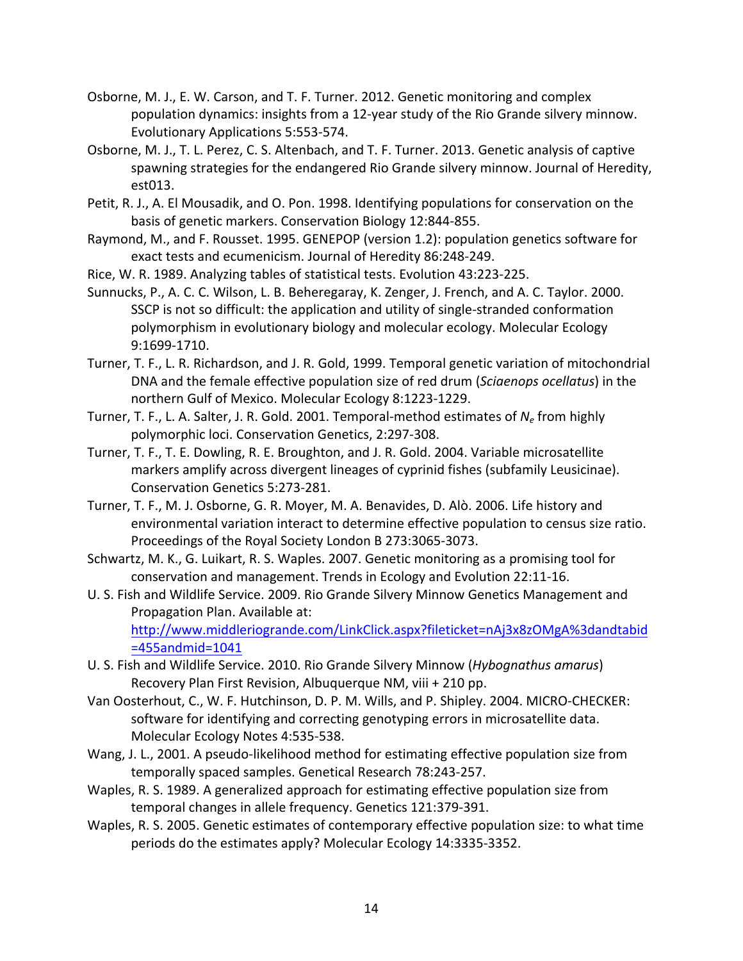- Osborne, M. J., E. W. Carson, and T. F. Turner. 2012. Genetic monitoring and complex population dynamics: insights from a 12-year study of the Rio Grande silvery minnow. Evolutionary Applications 5:553-574.
- Osborne, M. J., T. L. Perez, C. S. Altenbach, and T. F. Turner. 2013. Genetic analysis of captive spawning strategies for the endangered Rio Grande silvery minnow. Journal of Heredity, est013.
- Petit, R. J., A. El Mousadik, and O. Pon. 1998. Identifying populations for conservation on the basis of genetic markers. Conservation Biology 12:844-855.
- Raymond, M., and F. Rousset. 1995. GENEPOP (version 1.2): population genetics software for exact tests and ecumenicism. Journal of Heredity 86:248-249.

Rice, W. R. 1989. Analyzing tables of statistical tests. Evolution 43:223-225.

Sunnucks, P., A. C. C. Wilson, L. B. Beheregaray, K. Zenger, J. French, and A. C. Taylor. 2000. SSCP is not so difficult: the application and utility of single-stranded conformation polymorphism in evolutionary biology and molecular ecology. Molecular Ecology 9:1699-1710.

- Turner, T. F., L. R. Richardson, and J. R. Gold, 1999. Temporal genetic variation of mitochondrial DNA and the female effective population size of red drum (*Sciaenops ocellatus*) in the northern Gulf of Mexico. Molecular Ecology 8:1223-1229.
- Turner, T. F., L. A. Salter, J. R. Gold. 2001. Temporal-method estimates of *N<sub>e</sub>* from highly polymorphic loci. Conservation Genetics, 2:297-308.
- Turner, T. F., T. E. Dowling, R. E. Broughton, and J. R. Gold. 2004. Variable microsatellite markers amplify across divergent lineages of cyprinid fishes (subfamily Leusicinae). Conservation Genetics 5:273-281.
- Turner, T. F., M. J. Osborne, G. R. Moyer, M. A. Benavides, D. Alò. 2006. Life history and environmental variation interact to determine effective population to census size ratio. Proceedings of the Royal Society London B 273:3065-3073.
- Schwartz, M. K., G. Luikart, R. S. Waples. 2007. Genetic monitoring as a promising tool for conservation and management. Trends in Ecology and Evolution 22:11-16.
- U. S. Fish and Wildlife Service. 2009. Rio Grande Silvery Minnow Genetics Management and Propagation Plan. Available at: http://www.middleriogrande.com/LinkClick.aspx?fileticket=nAj3x8zOMgA%3dandtabid =455andmid=1041
- U. S. Fish and Wildlife Service. 2010. Rio Grande Silvery Minnow (*Hybognathus amarus*) Recovery Plan First Revision, Albuquerque NM, viii + 210 pp.
- Van Oosterhout, C., W. F. Hutchinson, D. P. M. Wills, and P. Shipley. 2004. MICRO-CHECKER: software for identifying and correcting genotyping errors in microsatellite data. Molecular Ecology Notes 4:535-538.
- Wang, J. L., 2001. A pseudo-likelihood method for estimating effective population size from temporally spaced samples. Genetical Research 78:243-257.
- Waples, R. S. 1989. A generalized approach for estimating effective population size from temporal changes in allele frequency. Genetics 121:379-391.
- Waples, R. S. 2005. Genetic estimates of contemporary effective population size: to what time periods do the estimates apply? Molecular Ecology 14:3335-3352.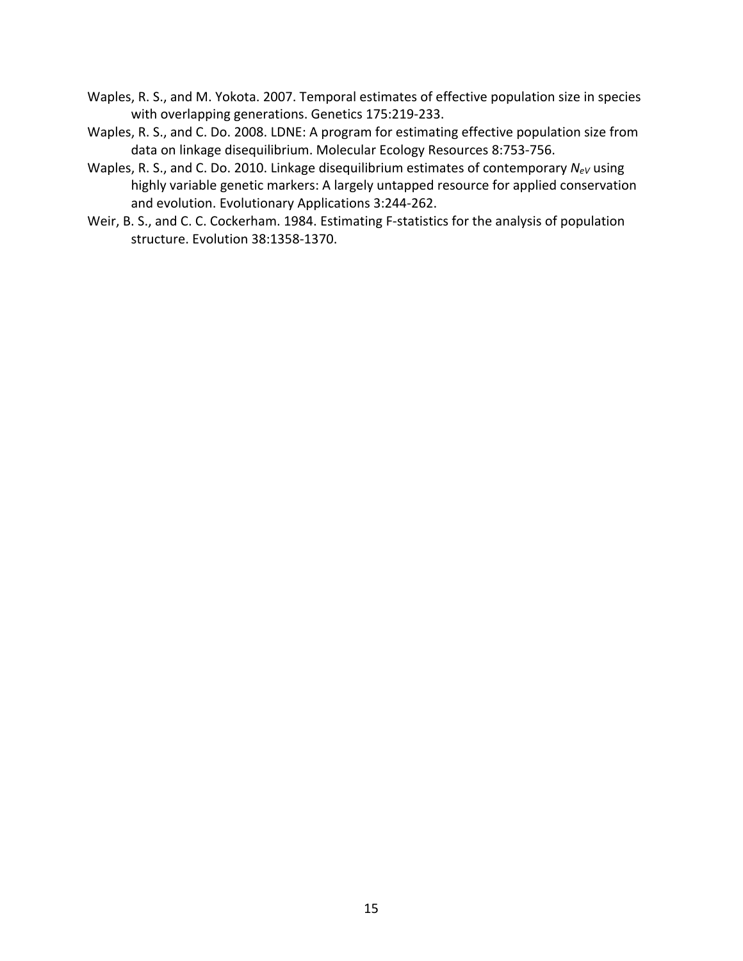- Waples, R. S., and M. Yokota. 2007. Temporal estimates of effective population size in species with overlapping generations. Genetics 175:219-233.
- Waples, R. S., and C. Do. 2008. LDNE: A program for estimating effective population size from data on linkage disequilibrium. Molecular Ecology Resources 8:753-756.
- Waples, R. S., and C. Do. 2010. Linkage disequilibrium estimates of contemporary *N<sub>eV</sub>* using highly variable genetic markers: A largely untapped resource for applied conservation and evolution. Evolutionary Applications 3:244-262.
- Weir, B. S., and C. C. Cockerham. 1984. Estimating F-statistics for the analysis of population structure. Evolution 38:1358-1370.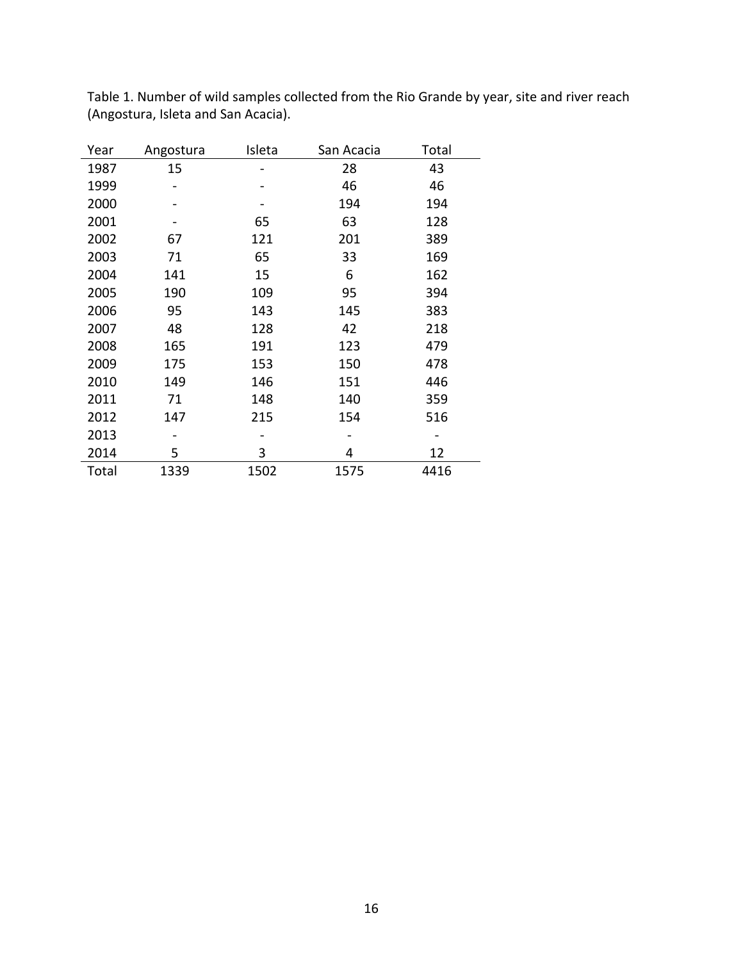| Year  | Angostura | Isleta | San Acacia | Total |
|-------|-----------|--------|------------|-------|
| 1987  | 15        |        | 28         | 43    |
| 1999  |           |        | 46         | 46    |
| 2000  |           |        | 194        | 194   |
| 2001  |           | 65     | 63         | 128   |
| 2002  | 67        | 121    | 201        | 389   |
| 2003  | 71        | 65     | 33         | 169   |
| 2004  | 141       | 15     | 6          | 162   |
| 2005  | 190       | 109    | 95         | 394   |
| 2006  | 95        | 143    | 145        | 383   |
| 2007  | 48        | 128    | 42         | 218   |
| 2008  | 165       | 191    | 123        | 479   |
| 2009  | 175       | 153    | 150        | 478   |
| 2010  | 149       | 146    | 151        | 446   |
| 2011  | 71        | 148    | 140        | 359   |
| 2012  | 147       | 215    | 154        | 516   |
| 2013  |           |        |            |       |
| 2014  | 5         | 3      | 4          | 12    |
| Total | 1339      | 1502   | 1575       | 4416  |
|       |           |        |            |       |

Table 1. Number of wild samples collected from the Rio Grande by year, site and river reach (Angostura, Isleta and San Acacia).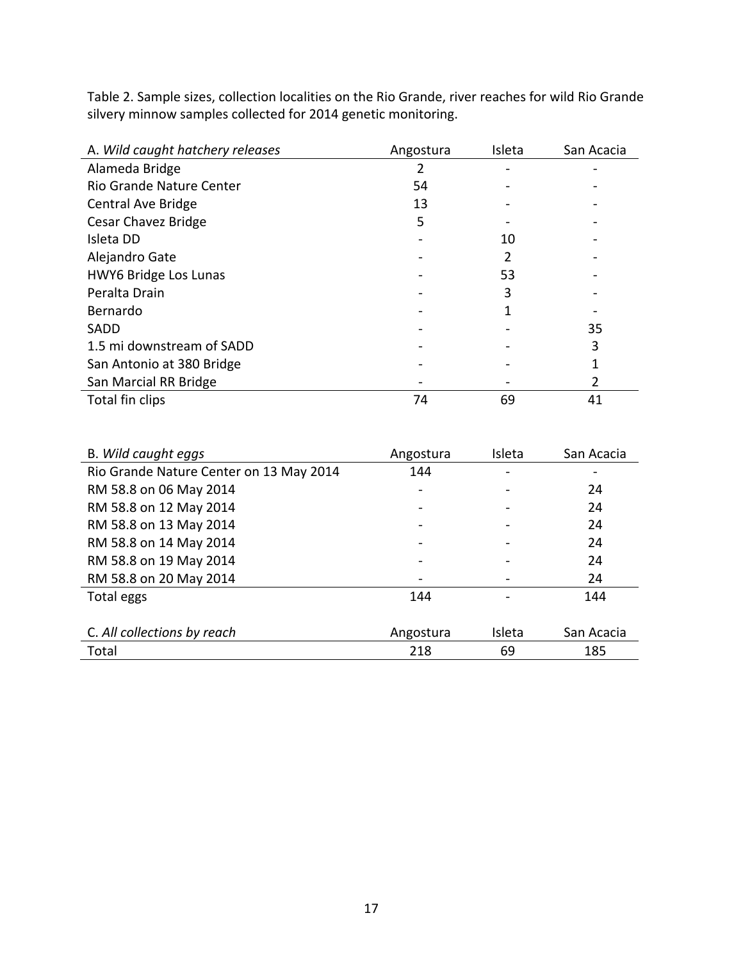Table 2. Sample sizes, collection localities on the Rio Grande, river reaches for wild Rio Grande silvery minnow samples collected for 2014 genetic monitoring.

| A. Wild caught hatchery releases | Angostura | Isleta | San Acacia |
|----------------------------------|-----------|--------|------------|
| Alameda Bridge                   |           |        |            |
| Rio Grande Nature Center         | 54        |        |            |
| Central Ave Bridge               | 13        |        |            |
| Cesar Chavez Bridge              | 5         |        |            |
| Isleta DD                        |           | 10     |            |
| Alejandro Gate                   |           |        |            |
| HWY6 Bridge Los Lunas            |           | 53     |            |
| Peralta Drain                    |           | 3      |            |
| Bernardo                         |           |        |            |
| SADD                             |           |        | 35         |
| 1.5 mi downstream of SADD        |           |        | 3          |
| San Antonio at 380 Bridge        |           |        |            |
| San Marcial RR Bridge            |           |        |            |
| Total fin clips                  | 74        | 69     | 41         |

| B. Wild caught eggs                     | Angostura | Isleta | San Acacia |
|-----------------------------------------|-----------|--------|------------|
| Rio Grande Nature Center on 13 May 2014 | 144       |        |            |
| RM 58.8 on 06 May 2014                  |           |        | 24         |
| RM 58.8 on 12 May 2014                  |           |        | 24         |
| RM 58.8 on 13 May 2014                  |           |        | 24         |
| RM 58.8 on 14 May 2014                  |           |        | 24         |
| RM 58.8 on 19 May 2014                  |           |        | 24         |
| RM 58.8 on 20 May 2014                  |           |        | 24         |
| Total eggs                              | 144       |        | 144        |
|                                         |           |        |            |
| C. All collections by reach             | Angostura | Isleta | San Acacia |
| Total                                   | 218       | 69     | 185        |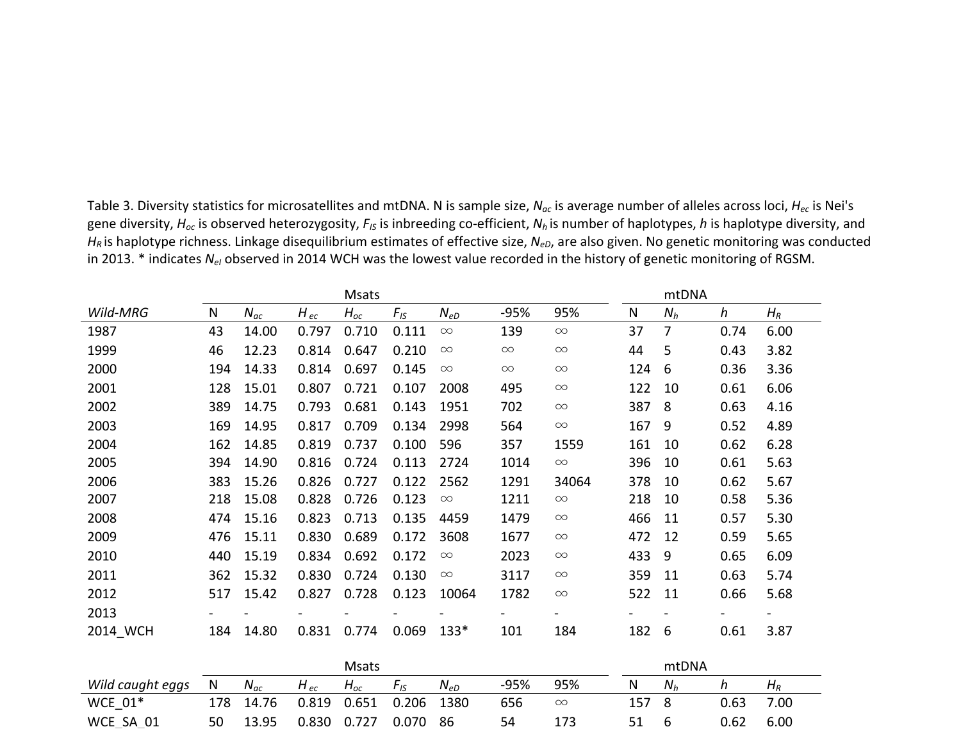|          |     |          |          |          |          |          |          | en was the lowest value recorded in the mstory |       |       | or Princeto monitoring |                |
|----------|-----|----------|----------|----------|----------|----------|----------|------------------------------------------------|-------|-------|------------------------|----------------|
|          |     |          |          | Msats    |          |          |          |                                                |       | mtDNA |                        |                |
| Wild-MRG | N   | $N_{ac}$ | $H_{ec}$ | $H_{oc}$ | $F_{IS}$ | $N_{eD}$ | -95%     | 95%                                            | N     | $N_h$ | $\boldsymbol{h}$       | $H_R$          |
| 1987     | 43  | 14.00    | 0.797    | 0.710    | 0.111    | $\infty$ | 139      | $\infty$                                       | 37    | 7     | 0.74                   | 6.00           |
| 1999     | 46  | 12.23    | 0.814    | 0.647    | 0.210    | $\infty$ | $\infty$ | $\infty$                                       | 44    | 5     | 0.43                   | 3.82           |
| 2000     | 194 | 14.33    | 0.814    | 0.697    | 0.145    | $\infty$ | $\infty$ | $\infty$                                       | 124   | 6     | 0.36                   | 3.36           |
| 2001     | 128 | 15.01    | 0.807    | 0.721    | 0.107    | 2008     | 495      | $\infty$                                       | 122   | 10    | 0.61                   | 6.06           |
| 2002     | 389 | 14.75    | 0.793    | 0.681    | 0.143    | 1951     | 702      | $\infty$                                       | 387   | -8    | 0.63                   | 4.16           |
| 2003     | 169 | 14.95    | 0.817    | 0.709    | 0.134    | 2998     | 564      | $\infty$                                       | 167   | 9     | 0.52                   | 4.89           |
| 2004     | 162 | 14.85    | 0.819    | 0.737    | 0.100    | 596      | 357      | 1559                                           | 161   | 10    | 0.62                   | 6.28           |
| 2005     | 394 | 14.90    | 0.816    | 0.724    | 0.113    | 2724     | 1014     | $\infty$                                       | 396   | 10    | 0.61                   | 5.63           |
| 2006     | 383 | 15.26    | 0.826    | 0.727    | 0.122    | 2562     | 1291     | 34064                                          | 378   | 10    | 0.62                   | 5.67           |
| 2007     | 218 | 15.08    | 0.828    | 0.726    | 0.123    | $\infty$ | 1211     | $\infty$                                       | 218   | 10    | 0.58                   | 5.36           |
| 2008     | 474 | 15.16    | 0.823    | 0.713    | 0.135    | 4459     | 1479     | $\infty$                                       | 466   | 11    | 0.57                   | 5.30           |
| 2009     | 476 | 15.11    | 0.830    | 0.689    | 0.172    | 3608     | 1677     | $\infty$                                       | 472   | 12    | 0.59                   | 5.65           |
| 2010     | 440 | 15.19    | 0.834    | 0.692    | 0.172    | $\infty$ | 2023     | $\infty$                                       | 433   | 9     | 0.65                   | 6.09           |
| 2011     | 362 | 15.32    | 0.830    | 0.724    | 0.130    | $\infty$ | 3117     | $\infty$                                       | 359   | 11    | 0.63                   | 5.74           |
| 2012     | 517 | 15.42    | 0.827    | 0.728    | 0.123    | 10064    | 1782     | $\infty$                                       | 522   | 11    | 0.66                   | 5.68           |
| 2013     |     |          |          |          |          |          |          | -                                              |       |       | $\blacksquare$         | $\blacksquare$ |
| 2014 WCH | 184 | 14.80    | 0.831    | 0.774    | 0.069    | $133*$   | 101      | 184                                            | 182 6 |       | 0.61                   | 3.87           |

Table 3. Diversity statistics for microsatellites and mtDNA. N is sample size,  $N_{ac}$  is average number of alleles across loci,  $H_{ec}$  is Nei's gene diversity,  $H_{oc}$  is observed heterozygosity,  $F_{IS}$  is inbreeding co-efficient,  $N_h$  is number of haplotypes, *h* is haplotype diversity, and *H<sub>R</sub>* is haplotype richness. Linkage disequilibrium estimates of effective size, *N<sub>eD</sub>*, are also given. No genetic monitoring was conducted in 2013. \* indicates  $N_{el}$  observed in 2014 WCH was the lowest value recorded in the history of genetic monitoring of RGSM.

|                  |     |          |           | Msats    |       |          |        |          |     | mtDNA |      |       |
|------------------|-----|----------|-----------|----------|-------|----------|--------|----------|-----|-------|------|-------|
| Wild caught eggs | N   | $N_{ac}$ | H $_{ec}$ | $H_{oc}$ | Fıs   | $N_{eD}$ | $-95%$ | 95%      | N   | $N_h$ |      | $H_R$ |
| WCE $01*$        | 178 | 14.76    | 0.819     | 0.651    | 0.206 | 1380     | 656    | $\infty$ | 157 | -8    | 0.63 | 7.00  |
| WCE SA 01        | 50  | 13.95    | 0.830     | 0.727    | 0.070 | -86      | 54     | 173      | 51  | b     | 0.62 | 6.00  |
| WCF AN 02        |     |          | 70 A      |          | 126   | $\infty$ | ววด    | $\infty$ | 49. |       | 0.48 | 2 Q5  |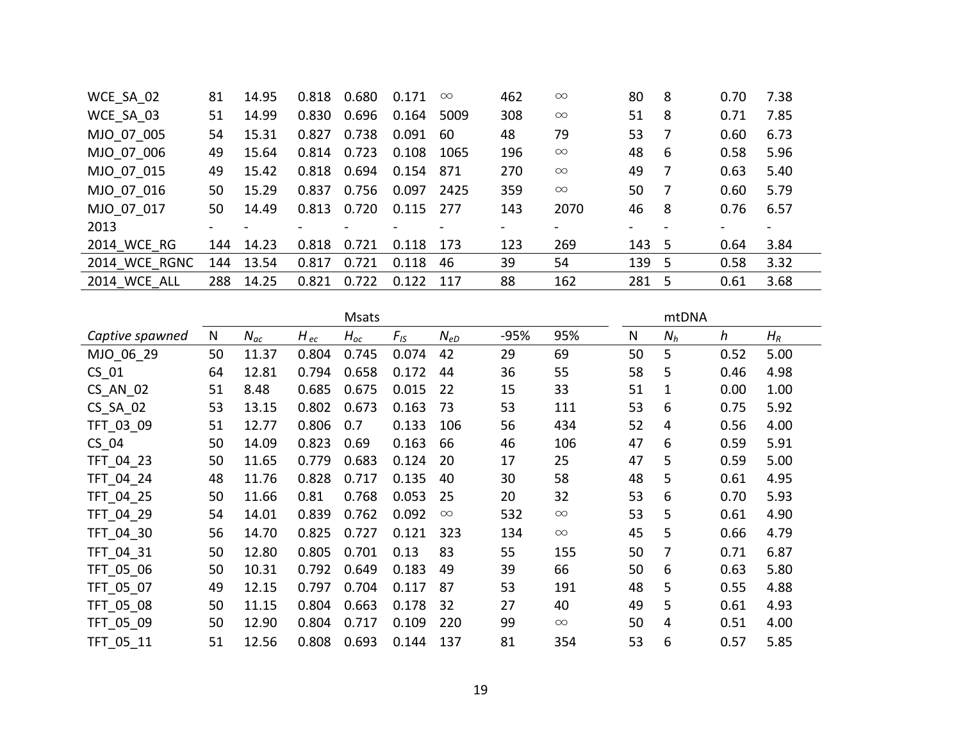| WCE SA 02     | 81  | 14.95 | 0.818 | 0.680 | 0.171                    | $\infty$ | 462    | $\infty$ | 80                       | 8  | 0.70 | 7.38   |
|---------------|-----|-------|-------|-------|--------------------------|----------|--------|----------|--------------------------|----|------|--------|
| WCE SA 03     | 51  | 14.99 | 0.830 | 0.696 | 0.164                    | 5009     | 308    | $\infty$ | 51                       | 8  | 0.71 | 7.85   |
| MJO 07 005    | 54  | 15.31 | 0.827 | 0.738 | 0.091                    | 60       | 48     | 79       | 53                       |    | 0.60 | 6.73   |
| MJO 07 006    | 49  | 15.64 | 0.814 | 0.723 | 0.108                    | 1065     | 196    | $\infty$ | 48                       | -6 | 0.58 | 5.96   |
| MJO 07 015    | 49  | 15.42 | 0.818 | 0.694 | 0.154                    | 871      | 270    | $\infty$ | 49                       |    | 0.63 | 5.40   |
| MJO 07 016    | 50  | 15.29 | 0.837 | 0.756 | 0.097                    | 2425     | 359    | $\infty$ | 50                       |    | 0.60 | 5.79   |
| MJO 07 017    | 50. | 14.49 | 0.813 | 0.720 | $0.115$ 277              |          | 143    | 2070     | 46                       | 8  | 0.76 | 6.57   |
| 2013          |     |       |       |       | $\overline{\phantom{0}}$ |          | $\sim$ |          | $\overline{\phantom{a}}$ |    |      | $\sim$ |
| 2014 WCE RG   | 144 | 14.23 | 0.818 | 0.721 | 0.118                    | -173     | 123    | 269      | 143 5                    |    | 0.64 | 3.84   |
| 2014 WCE RGNC | 144 | 13.54 | 0.817 | 0.721 | 0.118                    | 46       | 39     | 54       | 139 5                    |    | 0.58 | 3.32   |
| 2014 WCE ALL  | 288 | 14.25 | 0.821 | 0.722 | 0.122                    | 117      | 88     | 162      | 281                      | -5 | 0.61 | 3.68   |

|                 |    |          |          | <b>Msats</b> |          |          |      |          |    | mtDNA |      |       |
|-----------------|----|----------|----------|--------------|----------|----------|------|----------|----|-------|------|-------|
| Captive spawned | N  | $N_{ac}$ | $H_{ec}$ | $H_{oc}$     | $F_{IS}$ | $N_{eD}$ | -95% | 95%      | N  | $N_h$ | h    | $H_R$ |
| MJO 06 29       | 50 | 11.37    | 0.804    | 0.745        | 0.074    | 42       | 29   | 69       | 50 | 5     | 0.52 | 5.00  |
| $CS_01$         | 64 | 12.81    | 0.794    | 0.658        | 0.172    | 44       | 36   | 55       | 58 | 5     | 0.46 | 4.98  |
| CS AN 02        | 51 | 8.48     | 0.685    | 0.675        | 0.015    | 22       | 15   | 33       | 51 | 1     | 0.00 | 1.00  |
| $CS$ _SA_02     | 53 | 13.15    | 0.802    | 0.673        | 0.163    | 73       | 53   | 111      | 53 | 6     | 0.75 | 5.92  |
| TFT_03_09       | 51 | 12.77    | 0.806    | 0.7          | 0.133    | 106      | 56   | 434      | 52 | 4     | 0.56 | 4.00  |
| $CS_04$         | 50 | 14.09    | 0.823    | 0.69         | 0.163    | 66       | 46   | 106      | 47 | 6     | 0.59 | 5.91  |
| TFT_04_23       | 50 | 11.65    | 0.779    | 0.683        | 0.124    | 20       | 17   | 25       | 47 | 5     | 0.59 | 5.00  |
| TFT_04_24       | 48 | 11.76    | 0.828    | 0.717        | 0.135    | 40       | 30   | 58       | 48 | 5     | 0.61 | 4.95  |
| TFT_04_25       | 50 | 11.66    | 0.81     | 0.768        | 0.053    | 25       | 20   | 32       | 53 | 6     | 0.70 | 5.93  |
| TFT_04_29       | 54 | 14.01    | 0.839    | 0.762        | 0.092    | $\infty$ | 532  | $\infty$ | 53 | 5     | 0.61 | 4.90  |
| TFT_04_30       | 56 | 14.70    | 0.825    | 0.727        | 0.121    | 323      | 134  | $\infty$ | 45 | 5     | 0.66 | 4.79  |
| TFT 04 31       | 50 | 12.80    | 0.805    | 0.701        | 0.13     | 83       | 55   | 155      | 50 | 7     | 0.71 | 6.87  |
| TFT 05 06       | 50 | 10.31    | 0.792    | 0.649        | 0.183    | 49       | 39   | 66       | 50 | 6     | 0.63 | 5.80  |
| TFT 05 07       | 49 | 12.15    | 0.797    | 0.704        | 0.117    | 87       | 53   | 191      | 48 | 5     | 0.55 | 4.88  |
| TFT_05_08       | 50 | 11.15    | 0.804    | 0.663        | 0.178    | 32       | 27   | 40       | 49 | 5     | 0.61 | 4.93  |
| TFT_05_09       | 50 | 12.90    | 0.804    | 0.717        | 0.109    | 220      | 99   | $\infty$ | 50 | 4     | 0.51 | 4.00  |
| TFT 05 11       | 51 | 12.56    | 0.808    | 0.693        | 0.144    | 137      | 81   | 354      | 53 | 6     | 0.57 | 5.85  |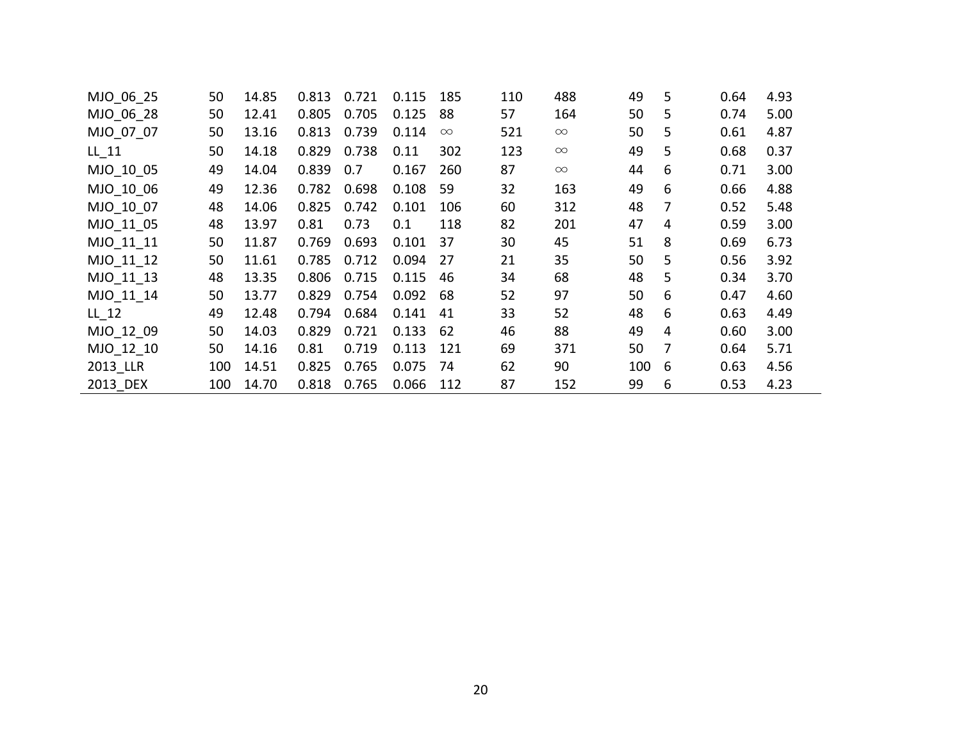| MJO 06 25 | 50  | 14.85 | 0.813 | 0.721 | 0.115 | 185      | 110 | 488      | 49  | 5 | 0.64 | 4.93 |
|-----------|-----|-------|-------|-------|-------|----------|-----|----------|-----|---|------|------|
| MJO 06 28 | 50  | 12.41 | 0.805 | 0.705 | 0.125 | 88       | 57  | 164      | 50  | 5 | 0.74 | 5.00 |
| MJO 07 07 | 50  | 13.16 | 0.813 | 0.739 | 0.114 | $\infty$ | 521 | $\infty$ | 50  | 5 | 0.61 | 4.87 |
| LL 11     | 50  | 14.18 | 0.829 | 0.738 | 0.11  | 302      | 123 | $\infty$ | 49  | 5 | 0.68 | 0.37 |
| MJO 10 05 | 49  | 14.04 | 0.839 | 0.7   | 0.167 | 260      | 87  | $\infty$ | 44  | 6 | 0.71 | 3.00 |
| MJO 10 06 | 49  | 12.36 | 0.782 | 0.698 | 0.108 | 59       | 32  | 163      | 49  | 6 | 0.66 | 4.88 |
| MJO 10 07 | 48  | 14.06 | 0.825 | 0.742 | 0.101 | 106      | 60  | 312      | 48  | 7 | 0.52 | 5.48 |
| MJO 11 05 | 48  | 13.97 | 0.81  | 0.73  | 0.1   | 118      | 82  | 201      | 47  | 4 | 0.59 | 3.00 |
| MJO_11_11 | 50  | 11.87 | 0.769 | 0.693 | 0.101 | 37       | 30  | 45       | 51  | 8 | 0.69 | 6.73 |
| MJO_11_12 | 50  | 11.61 | 0.785 | 0.712 | 0.094 | 27       | 21  | 35       | 50  | 5 | 0.56 | 3.92 |
| MJO 11 13 | 48  | 13.35 | 0.806 | 0.715 | 0.115 | 46       | 34  | 68       | 48  | 5 | 0.34 | 3.70 |
| MJO 11 14 | 50  | 13.77 | 0.829 | 0.754 | 0.092 | 68       | 52  | 97       | 50  | 6 | 0.47 | 4.60 |
| LL 12     | 49  | 12.48 | 0.794 | 0.684 | 0.141 | 41       | 33  | 52       | 48  | 6 | 0.63 | 4.49 |
| MJO 12 09 | 50  | 14.03 | 0.829 | 0.721 | 0.133 | 62       | 46  | 88       | 49  | 4 | 0.60 | 3.00 |
| MJO 12 10 | 50  | 14.16 | 0.81  | 0.719 | 0.113 | 121      | 69  | 371      | 50  | 7 | 0.64 | 5.71 |
| 2013 LLR  | 100 | 14.51 | 0.825 | 0.765 | 0.075 | 74       | 62  | 90       | 100 | 6 | 0.63 | 4.56 |
| 2013 DEX  | 100 | 14.70 | 0.818 | 0.765 | 0.066 | 112      | 87  | 152      | 99  | 6 | 0.53 | 4.23 |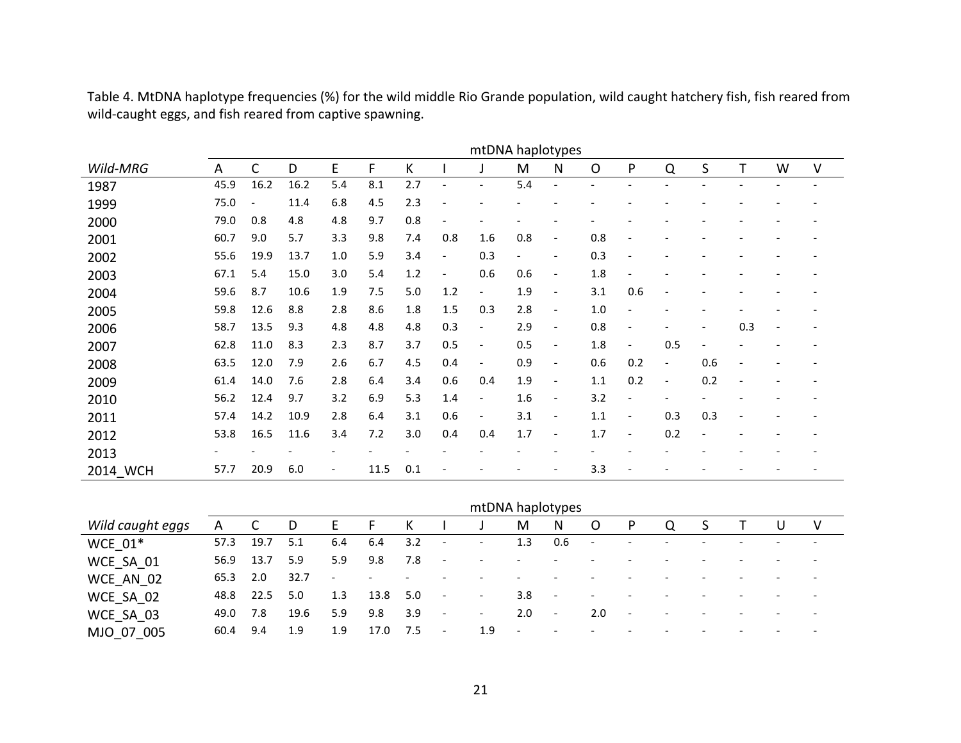Table 4. MtDNA haplotype frequencies (%) for the wild middle Rio Grande population, wild caught hatchery fish, fish reared from wild-caught eggs, and fish reared from captive spawning.

|          |      |              |      |                          |      |     |                              | mtDNA haplotypes         |     |                          |         |     |                          |     |     |                |        |
|----------|------|--------------|------|--------------------------|------|-----|------------------------------|--------------------------|-----|--------------------------|---------|-----|--------------------------|-----|-----|----------------|--------|
| Wild-MRG | A    | $\mathsf{C}$ | D    | E                        | F    | K   |                              |                          | M   | N                        | $\circ$ | P   | Q                        | S   |     | W              | $\vee$ |
| 1987     | 45.9 | 16.2         | 16.2 | 5.4                      | 8.1  | 2.7 | $\overline{\phantom{0}}$     | $\overline{\phantom{0}}$ | 5.4 | $\overline{\phantom{a}}$ |         |     |                          |     |     |                |        |
| 1999     | 75.0 |              | 11.4 | 6.8                      | 4.5  | 2.3 | $\overline{\phantom{a}}$     |                          |     |                          |         |     |                          |     |     |                |        |
| 2000     | 79.0 | 0.8          | 4.8  | 4.8                      | 9.7  | 0.8 |                              |                          |     |                          |         |     |                          |     |     |                |        |
| 2001     | 60.7 | 9.0          | 5.7  | 3.3                      | 9.8  | 7.4 | 0.8                          | 1.6                      | 0.8 | $\overline{\phantom{a}}$ | 0.8     |     |                          |     |     |                |        |
| 2002     | 55.6 | 19.9         | 13.7 | 1.0                      | 5.9  | 3.4 | $\overline{\phantom{a}}$     | 0.3                      |     | $\overline{\phantom{a}}$ | 0.3     |     |                          |     |     |                |        |
| 2003     | 67.1 | 5.4          | 15.0 | 3.0                      | 5.4  | 1.2 | $\qquad \qquad \blacksquare$ | 0.6                      | 0.6 | $\overline{\phantom{a}}$ | 1.8     |     |                          |     |     |                |        |
| 2004     | 59.6 | 8.7          | 10.6 | 1.9                      | 7.5  | 5.0 | 1.2                          | $\overline{\phantom{a}}$ | 1.9 | $\overline{\phantom{a}}$ | 3.1     | 0.6 |                          |     |     |                |        |
| 2005     | 59.8 | 12.6         | 8.8  | 2.8                      | 8.6  | 1.8 | 1.5                          | 0.3                      | 2.8 | $\overline{\phantom{a}}$ | 1.0     |     |                          |     |     |                |        |
| 2006     | 58.7 | 13.5         | 9.3  | 4.8                      | 4.8  | 4.8 | 0.3                          | $\overline{\phantom{a}}$ | 2.9 | $\overline{\phantom{a}}$ | 0.8     |     |                          |     | 0.3 | $\overline{a}$ |        |
| 2007     | 62.8 | 11.0         | 8.3  | 2.3                      | 8.7  | 3.7 | 0.5                          | $\overline{\phantom{0}}$ | 0.5 | $\overline{\phantom{a}}$ | 1.8     |     | 0.5                      |     |     |                |        |
| 2008     | 63.5 | 12.0         | 7.9  | 2.6                      | 6.7  | 4.5 | 0.4                          | $\overline{a}$           | 0.9 | $\overline{\phantom{a}}$ | 0.6     | 0.2 | $\overline{\phantom{a}}$ | 0.6 |     |                |        |
| 2009     | 61.4 | 14.0         | 7.6  | 2.8                      | 6.4  | 3.4 | 0.6                          | 0.4                      | 1.9 | $\overline{\phantom{a}}$ | 1.1     | 0.2 | $\overline{\phantom{a}}$ | 0.2 |     |                |        |
| 2010     | 56.2 | 12.4         | 9.7  | 3.2                      | 6.9  | 5.3 | 1.4                          | $\overline{\phantom{a}}$ | 1.6 | $\overline{\phantom{a}}$ | 3.2     |     |                          |     |     |                |        |
| 2011     | 57.4 | 14.2         | 10.9 | 2.8                      | 6.4  | 3.1 | 0.6                          | $\overline{\phantom{0}}$ | 3.1 | $\overline{\phantom{a}}$ | 1.1     |     | 0.3                      | 0.3 |     |                |        |
| 2012     | 53.8 | 16.5         | 11.6 | 3.4                      | 7.2  | 3.0 | 0.4                          | 0.4                      | 1.7 | $\overline{\phantom{a}}$ | 1.7     |     | 0.2                      |     |     |                |        |
| 2013     |      |              |      |                          |      |     |                              |                          |     |                          |         |     |                          |     |     |                |        |
| 2014 WCH | 57.7 | 20.9         | 6.0  | $\overline{\phantom{a}}$ | 11.5 | 0.1 |                              |                          |     | $\overline{\phantom{a}}$ | 3.3     |     |                          |     |     |                |        |

|                  |      |      |      |                          |                          |                          |                          | mtDNA haplotypes         |                          |                          |                          |                          |                          |  |                          |   |
|------------------|------|------|------|--------------------------|--------------------------|--------------------------|--------------------------|--------------------------|--------------------------|--------------------------|--------------------------|--------------------------|--------------------------|--|--------------------------|---|
| Wild caught eggs | A    |      |      | F                        | F                        | К                        |                          | J                        | M                        | N.                       | O                        | P.                       | Q                        |  |                          | V |
| WCE $01*$        | 57.3 | 19.7 | 5.1  | 6.4                      | 6.4                      | 3.2                      | $\sim$                   | $\overline{\phantom{a}}$ | 1.3                      | 0.6                      | $\overline{\phantom{a}}$ |                          |                          |  | $\overline{\phantom{0}}$ |   |
| WCE SA 01        | 56.9 | 13.7 | 5.9  | 5.9                      | 9.8                      | 7.8                      | $\sim$ $-$               | $\overline{\phantom{a}}$ | $\overline{\phantom{a}}$ | $\overline{\phantom{a}}$ |                          |                          |                          |  | $\overline{\phantom{0}}$ |   |
| WCE AN 02        | 65.3 | 2.0  | 32.7 | $\overline{\phantom{a}}$ | $\overline{\phantom{a}}$ | $\overline{\phantom{0}}$ |                          | $\overline{\phantom{0}}$ |                          |                          |                          |                          |                          |  |                          |   |
| WCE_SA_02        | 48.8 | 22.5 | 5.0  | 1.3                      | 13.8                     | 5.0                      | $\sim$                   | $\overline{\phantom{a}}$ | 3.8                      | $\overline{a}$           | $\overline{\phantom{0}}$ |                          |                          |  |                          |   |
| WCE SA 03        | 49.0 | 7.8  | 19.6 | 5.9                      | 9.8                      | 3.9                      | $\sim$                   | $\sim$                   | 2.0                      | $\overline{\phantom{a}}$ | 2.0                      | $\overline{\phantom{a}}$ | $\overline{\phantom{a}}$ |  | $\overline{\phantom{0}}$ |   |
| MJO 07 005       | 60.4 | 9.4  | 1.9  | 1.9                      | 17.0                     | 7.5                      | $\overline{\phantom{a}}$ | 1.9                      | $\overline{\phantom{a}}$ | $\overline{a}$           | $\overline{\phantom{0}}$ |                          | $\overline{\phantom{0}}$ |  | $\overline{\phantom{0}}$ |   |

21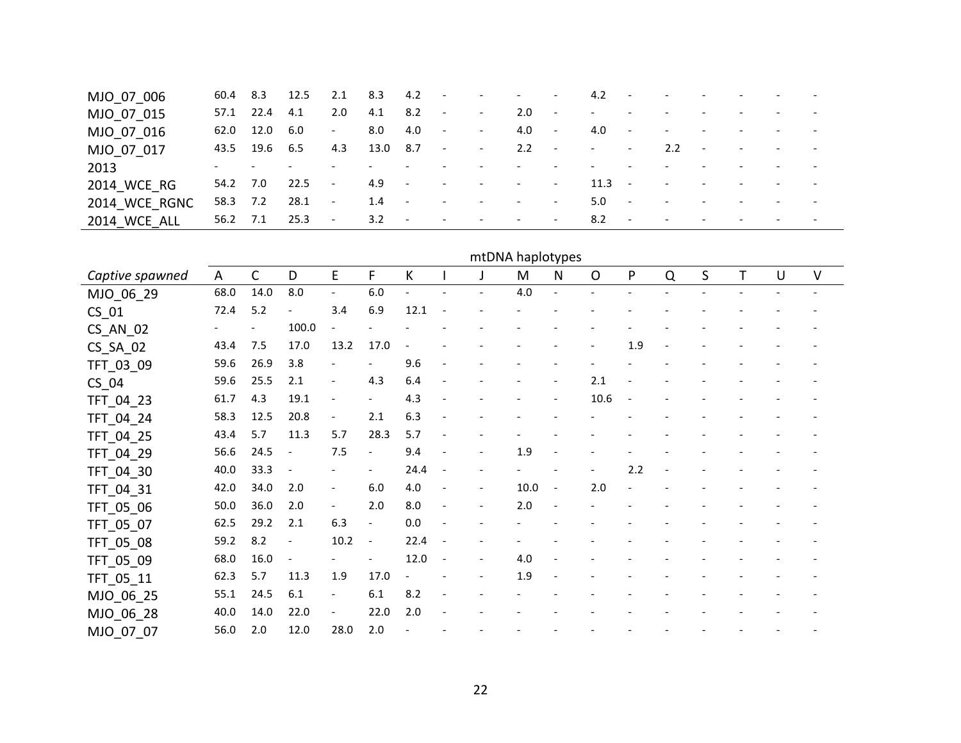| MJO_07_006          |          |               | 60.4 8.3 12.5 2.1 8.3 4.2 - - - - - |        |                                |                               |                                                 |                                            |         |                          |                          | $4.2 - - -$                       |                | the company of the company of the company of |                                     |                          |                          |
|---------------------|----------|---------------|-------------------------------------|--------|--------------------------------|-------------------------------|-------------------------------------------------|--------------------------------------------|---------|--------------------------|--------------------------|-----------------------------------|----------------|----------------------------------------------|-------------------------------------|--------------------------|--------------------------|
| MJO 07 015          |          | 57.1 22.4 4.1 |                                     | 2.0    | 4.1 8.2                        | $\sim$ $-$                    | $\sim 100$ km s $^{-1}$                         |                                            | $2.0 -$ | $\sim$ $-$               |                          | the company of the company of the |                | $\overline{\phantom{0}}$                     | the contract of the contract of the | <b>Service Contracts</b> |                          |
| MJO 07 016          | 62.0     | 12.0 6.0      |                                     | $\sim$ | 8.0                            | 4.0<br>$\sim$ $-$             | <b>Contract Contract</b>                        |                                            | $4.0 -$ |                          | 4.0<br>$\sim$ $-$        | $\sim 100$ km s $^{-1}$           |                | $\sim$                                       | and the company of the company      | <b>Service Contract</b>  |                          |
| MJO 07 017          |          | 43.5 19.6 6.5 |                                     | 4.3    | 13.0 8.7                       | $\sim 100$ km s $^{-1}$       |                                                 | $-2.2 -$                                   |         | $\sim 10^{11}$ m $^{-1}$ |                          | and the state of the              | 2.2<br>$\sim$  | <b>Contract Contract</b>                     | <b>Service State</b>                | <b>Contract Contract</b> |                          |
| 2013                |          |               |                                     |        |                                |                               | $\sim$                                          | and the state of the state                 |         | $\overline{\phantom{a}}$ | $\overline{\phantom{a}}$ |                                   | $\overline{a}$ | $\overline{\phantom{0}}$                     | <b>Service Contract Service</b>     |                          |                          |
| 2014 WCE RG         | 54.2 7.0 |               | $22.5 -$                            |        | 4.9<br>$\sim 100$ km s $^{-1}$ | <b>Contractor</b>             |                                                 | and the contract of the contract of        |         |                          | $11.3 -$                 |                                   | $\sim$         | $\overline{\phantom{0}}$                     | and the state of the state of       |                          | $\overline{\phantom{0}}$ |
| 2014 WCE RGNC       | 58.3 7.2 |               | $28.1 -$                            |        | 1.4                            | $\sim$ $  \sim$<br>$\sim$ $-$ |                                                 | and the state of the state of the state of |         |                          | 5.0<br>$\sim$            |                                   | $\sim$         | $\overline{a}$                               | and the state of the state of the   |                          | $\overline{\phantom{a}}$ |
| <b>2014 WCE ALL</b> | 56.2 7.1 |               | 25.3 -                              |        | $3.2 -$                        |                               | the contract of the contract of the contract of |                                            |         |                          | $8.2 -$                  | <b>Contract</b>                   |                | $\overline{\phantom{0}}$                     | and the state of the state of the   | <b>Service State</b>     |                          |

| mtDNA haplotypes |
|------------------|

| Captive spawned | A    | $\mathsf{C}$ | D                        | E                        | F                        | К                        |                          |                          | M    | N                        | $\mathsf{O}$ | P   | Q | S | T. | U | V |
|-----------------|------|--------------|--------------------------|--------------------------|--------------------------|--------------------------|--------------------------|--------------------------|------|--------------------------|--------------|-----|---|---|----|---|---|
| MJO_06_29       | 68.0 | 14.0         | 8.0                      | $\overline{\phantom{a}}$ | $6.0\,$                  | $\overline{\phantom{a}}$ |                          |                          | 4.0  | $\blacksquare$           |              |     |   |   |    |   |   |
| $CS_01$         | 72.4 | 5.2          | $\overline{a}$           | 3.4                      | 6.9                      | 12.1                     | $\overline{\phantom{a}}$ |                          |      |                          |              |     |   |   |    |   |   |
| $CS$ $AN$ $02$  |      |              | 100.0                    |                          |                          |                          |                          |                          |      |                          |              |     |   |   |    |   |   |
| $CS_SA_02$      | 43.4 | 7.5          | 17.0                     | 13.2                     | 17.0                     |                          |                          |                          |      |                          |              | 1.9 |   |   |    |   |   |
| TFT_03_09       | 59.6 | 26.9         | 3.8                      |                          |                          | 9.6                      |                          |                          |      |                          |              |     |   |   |    |   |   |
| $CS_04$         | 59.6 | 25.5         | 2.1                      | $\overline{\phantom{a}}$ | 4.3                      | 6.4                      |                          |                          |      |                          | 2.1          |     |   |   |    |   |   |
| TFT_04_23       | 61.7 | 4.3          | 19.1                     | $\overline{\phantom{a}}$ | $\overline{\phantom{a}}$ | 4.3                      |                          |                          |      | $\overline{\phantom{a}}$ | 10.6         |     |   |   |    |   |   |
| TFT_04_24       | 58.3 | 12.5         | 20.8                     | $\overline{\phantom{a}}$ | 2.1                      | 6.3                      |                          |                          |      |                          |              |     |   |   |    |   |   |
| TFT_04_25       | 43.4 | 5.7          | 11.3                     | 5.7                      | 28.3                     | 5.7                      |                          |                          |      |                          |              |     |   |   |    |   |   |
| TFT_04_29       | 56.6 | 24.5         | $\overline{\phantom{a}}$ | 7.5                      | $\overline{\phantom{a}}$ | 9.4                      |                          |                          | 1.9  |                          |              |     |   |   |    |   |   |
| TFT_04_30       | 40.0 | 33.3         |                          |                          | $\overline{\phantom{a}}$ | 24.4                     |                          |                          |      |                          |              | 2.2 |   |   |    |   |   |
| TFT_04_31       | 42.0 | 34.0         | 2.0                      | $\overline{\phantom{a}}$ | 6.0                      | 4.0                      |                          |                          | 10.0 | $\overline{\phantom{a}}$ | 2.0          |     |   |   |    |   |   |
| TFT_05_06       | 50.0 | 36.0         | 2.0                      | $\overline{\phantom{a}}$ | 2.0                      | 8.0                      | $\frac{1}{2}$            | $\overline{\phantom{a}}$ | 2.0  | $\overline{\phantom{a}}$ |              |     |   |   |    |   |   |
| TFT_05_07       | 62.5 | 29.2         | 2.1                      | 6.3                      | $\overline{\phantom{a}}$ | 0.0                      |                          |                          |      |                          |              |     |   |   |    |   |   |
| TFT_05_08       | 59.2 | 8.2          | $\overline{\phantom{a}}$ | 10.2                     | $\overline{\phantom{a}}$ | 22.4                     |                          |                          |      |                          |              |     |   |   |    |   |   |
| TFT_05_09       | 68.0 | 16.0         | $\overline{\phantom{a}}$ |                          | $\overline{\phantom{a}}$ | 12.0                     | $\overline{\phantom{a}}$ |                          | 4.0  |                          |              |     |   |   |    |   |   |
| TFT_05_11       | 62.3 | 5.7          | 11.3                     | 1.9                      | 17.0                     |                          |                          |                          | 1.9  | $\overline{\phantom{a}}$ |              |     |   |   |    |   |   |
| MJO_06_25       | 55.1 | 24.5         | 6.1                      |                          | 6.1                      | 8.2                      |                          |                          |      |                          |              |     |   |   |    |   |   |
| MJO_06_28       | 40.0 | 14.0         | 22.0                     | $\overline{\phantom{a}}$ | 22.0                     | 2.0                      |                          |                          |      |                          |              |     |   |   |    |   |   |
| MJO 07 07       | 56.0 | 2.0          | 12.0                     | 28.0                     | 2.0                      |                          |                          |                          |      |                          |              |     |   |   |    |   |   |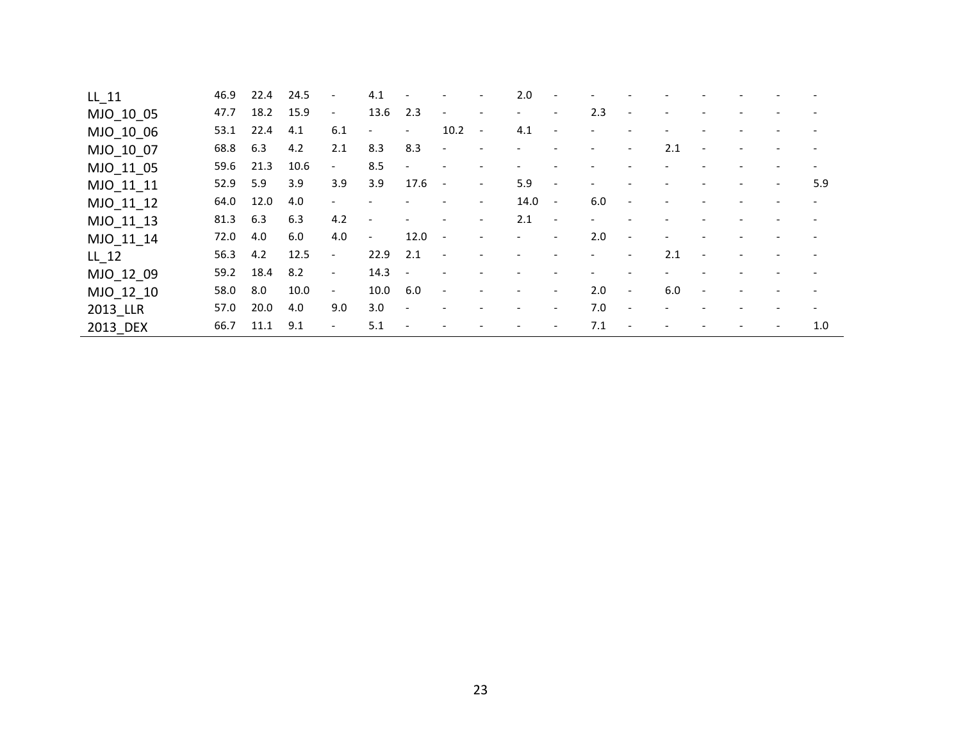| LL 11     | 46.9 | 22.4 | 24.5 | $\overline{\phantom{a}}$ | 4.1                      | $\overline{\phantom{a}}$ |                          |                          | 2.0  | $\overline{\phantom{a}}$ |                          |                          |     |                          |                          |     |
|-----------|------|------|------|--------------------------|--------------------------|--------------------------|--------------------------|--------------------------|------|--------------------------|--------------------------|--------------------------|-----|--------------------------|--------------------------|-----|
| MJO_10_05 | 47.7 | 18.2 | 15.9 | $\overline{\phantom{a}}$ | 13.6                     | 2.3                      | $\overline{\phantom{a}}$ | $\overline{\phantom{a}}$ | $-$  | $\overline{\phantom{a}}$ | 2.3                      | $\overline{\phantom{a}}$ |     |                          |                          |     |
| MJO_10_06 | 53.1 | 22.4 | 4.1  | 6.1                      | $\overline{\phantom{0}}$ | $\overline{\phantom{a}}$ | 10.2                     | $\sim$                   | 4.1  | $\overline{\phantom{a}}$ |                          |                          |     |                          |                          |     |
| MJO_10_07 | 68.8 | 6.3  | 4.2  | 2.1                      | 8.3                      | 8.3                      | $\overline{\phantom{a}}$ |                          |      |                          |                          | $\overline{\phantom{a}}$ | 2.1 | $\overline{\phantom{a}}$ |                          |     |
| MJO_11_05 | 59.6 | 21.3 | 10.6 | $\overline{\phantom{a}}$ | 8.5                      | $\overline{\phantom{a}}$ |                          |                          |      |                          |                          |                          |     |                          |                          |     |
| MJO 11 11 | 52.9 | 5.9  | 3.9  | 3.9                      | 3.9                      | 17.6                     | $\overline{\phantom{a}}$ | $-$                      | 5.9  | $\overline{\phantom{a}}$ | $\overline{\phantom{a}}$ |                          |     |                          | $\overline{\phantom{a}}$ | 5.9 |
| MJO_11_12 | 64.0 | 12.0 | 4.0  | $\overline{\phantom{a}}$ |                          |                          |                          | $\overline{\phantom{a}}$ | 14.0 | $\sim$ $-$               | 6.0                      |                          |     |                          |                          |     |
| MJO_11_13 | 81.3 | 6.3  | 6.3  | 4.2                      | $\overline{\phantom{a}}$ | $\overline{\phantom{a}}$ |                          | $\overline{\phantom{a}}$ | 2.1  | $\sim$                   |                          |                          |     |                          |                          |     |
| MJO 11 14 | 72.0 | 4.0  | 6.0  | 4.0                      | $ \,$                    | 12.0                     | $\overline{\phantom{a}}$ |                          | $-$  | $\overline{\phantom{a}}$ | 2.0                      | $\overline{\phantom{a}}$ |     |                          |                          |     |
| LL 12     | 56.3 | 4.2  | 12.5 | $\overline{\phantom{0}}$ | 22.9                     | 2.1                      |                          |                          |      |                          |                          | $\overline{\phantom{a}}$ | 2.1 | $\overline{\phantom{a}}$ |                          |     |
| MJO_12_09 | 59.2 | 18.4 | 8.2  | $\sim$                   | 14.3                     | $\overline{\phantom{a}}$ |                          |                          |      |                          |                          |                          |     |                          |                          |     |
| MJO_12_10 | 58.0 | 8.0  | 10.0 | $\overline{\phantom{a}}$ | 10.0                     | 6.0                      | $\overline{\phantom{a}}$ |                          |      | $\overline{\phantom{a}}$ | 2.0                      | $\overline{\phantom{a}}$ | 6.0 | $\overline{\phantom{a}}$ |                          |     |
| 2013_LLR  | 57.0 | 20.0 | 4.0  | 9.0                      | 3.0                      | $\overline{\phantom{a}}$ |                          |                          |      | $\overline{\phantom{a}}$ | 7.0                      | $\overline{\phantom{a}}$ |     |                          |                          |     |
| 2013_DEX  | 66.7 | 11.1 | 9.1  | $\overline{\phantom{0}}$ | 5.1                      | $\overline{\phantom{a}}$ | $\overline{\phantom{a}}$ |                          |      | $\overline{\phantom{a}}$ | 7.1                      | $\overline{\phantom{a}}$ |     |                          | $\overline{\phantom{a}}$ | 1.0 |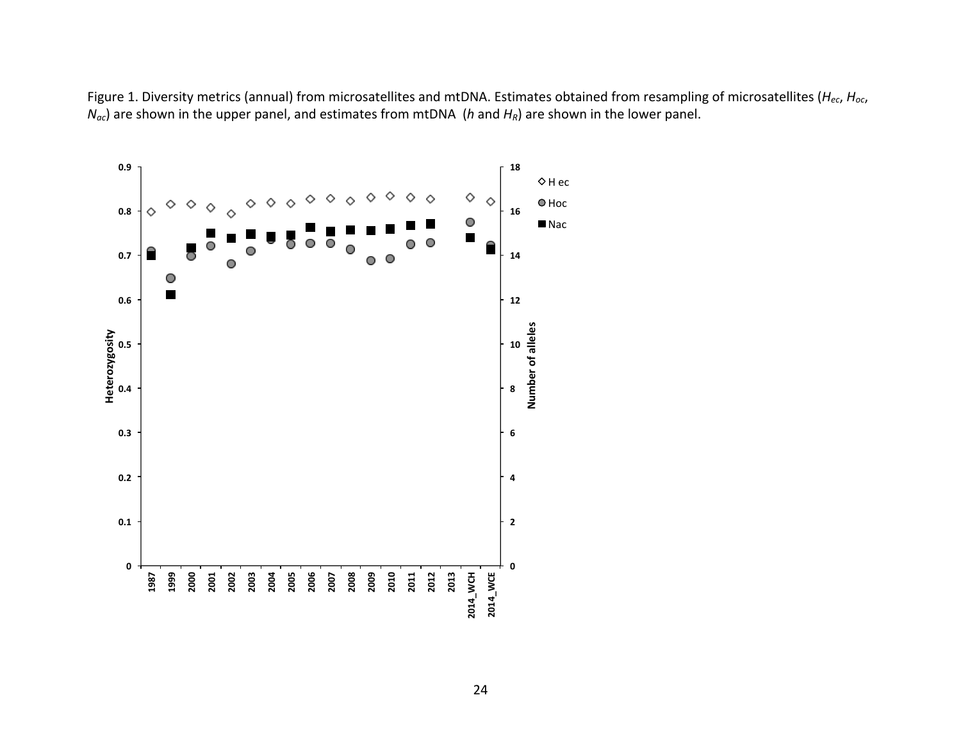Figure 1. Diversity metrics (annual) from microsatellites and mtDNA. Estimates obtained from resampling of microsatellites (*H<sub>ec</sub>*, *H<sub>oc*</sub>,  $N_{ac}$ ) are shown in the upper panel, and estimates from mtDNA (*h* and  $H_R$ ) are shown in the lower panel.

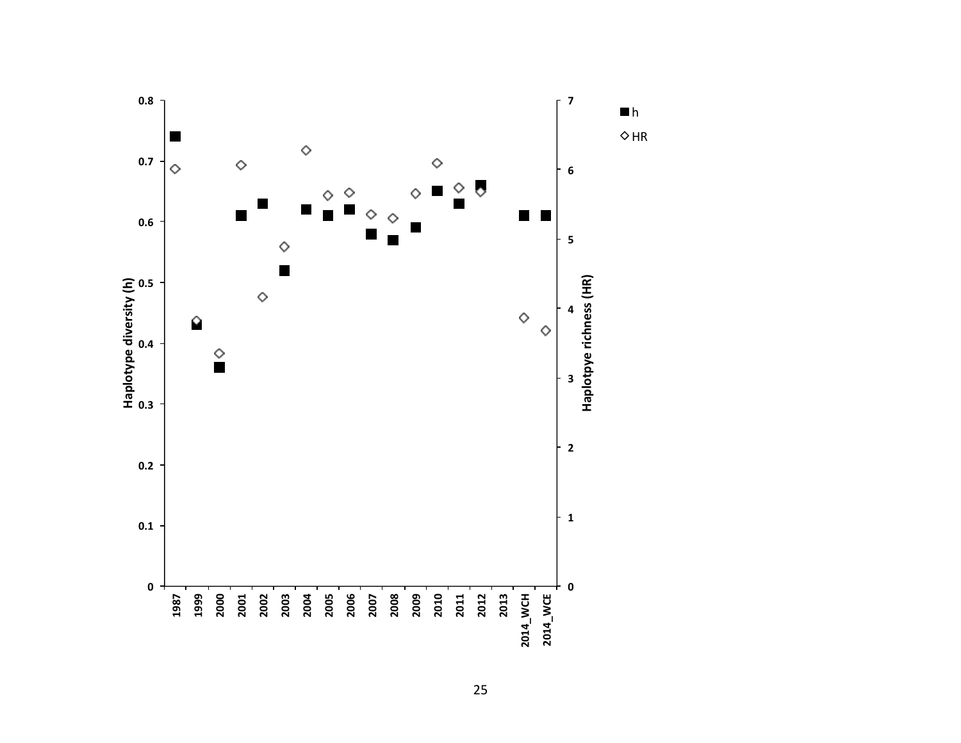

25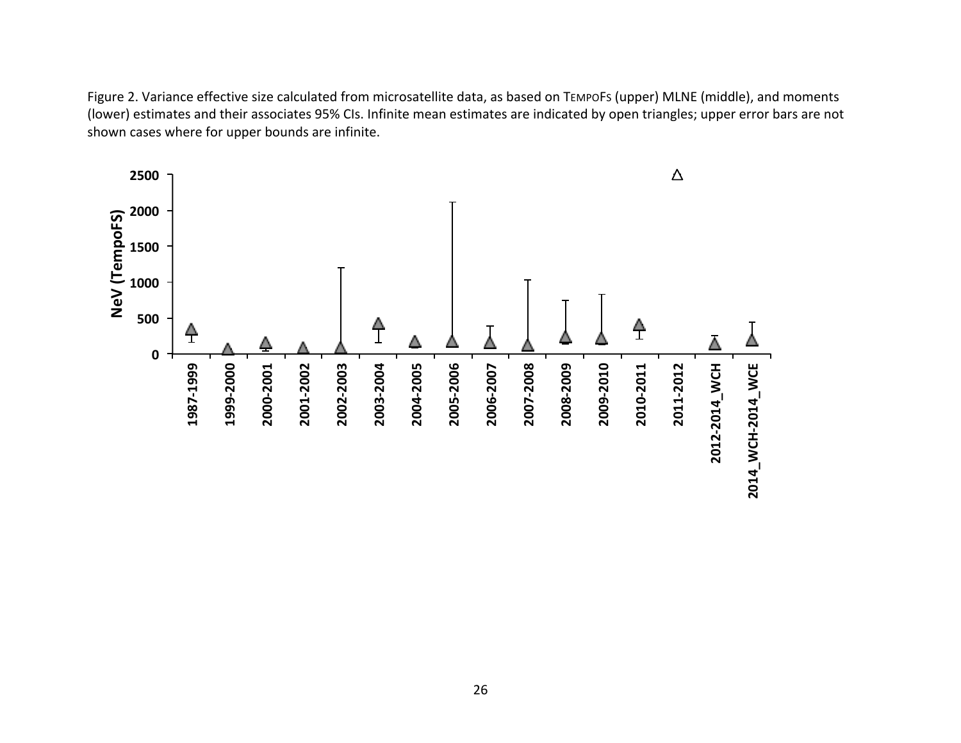Figure 2. Variance effective size calculated from microsatellite data, as based on TEMPOFs (upper) MLNE (middle), and moments (lower) estimates and their associates 95% CIs. Infinite mean estimates are indicated by open triangles; upper error bars are not shown cases where for upper bounds are infinite.

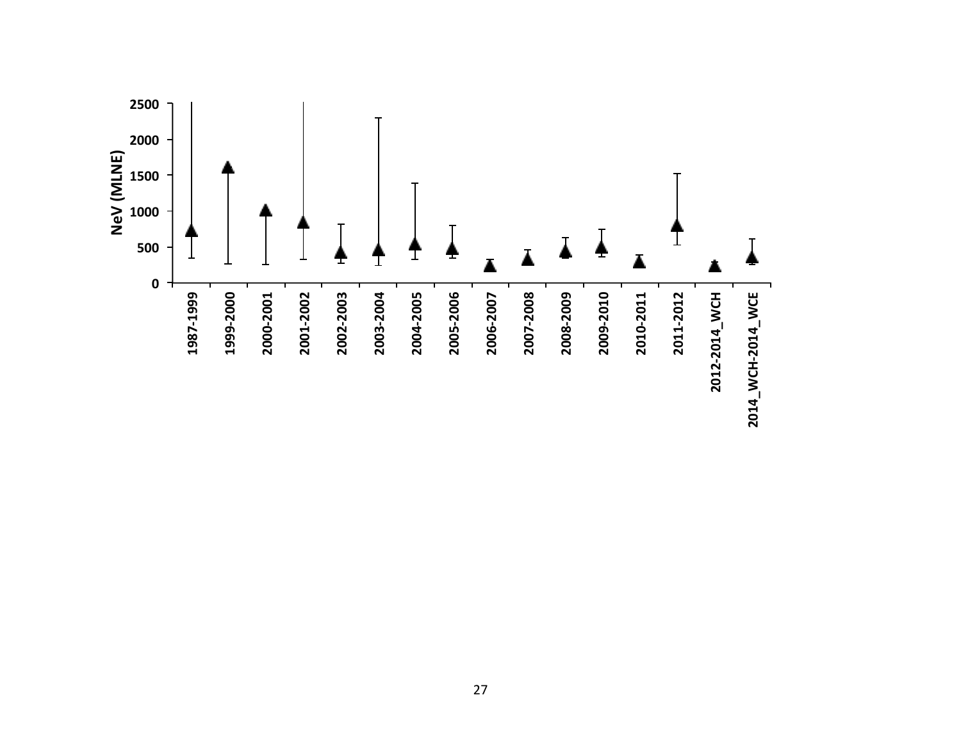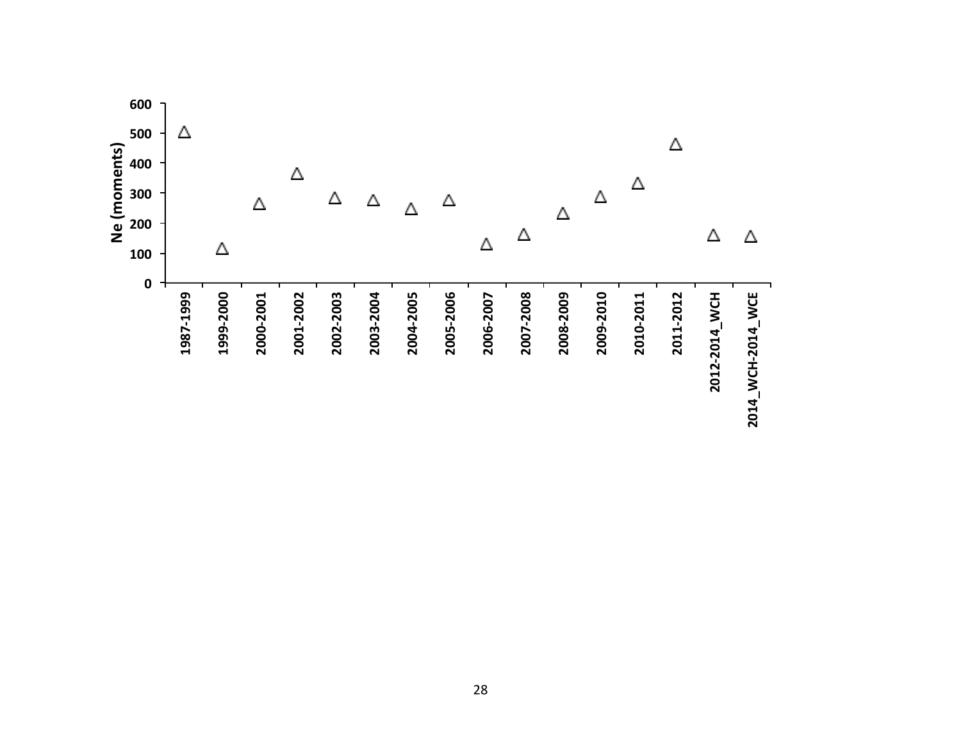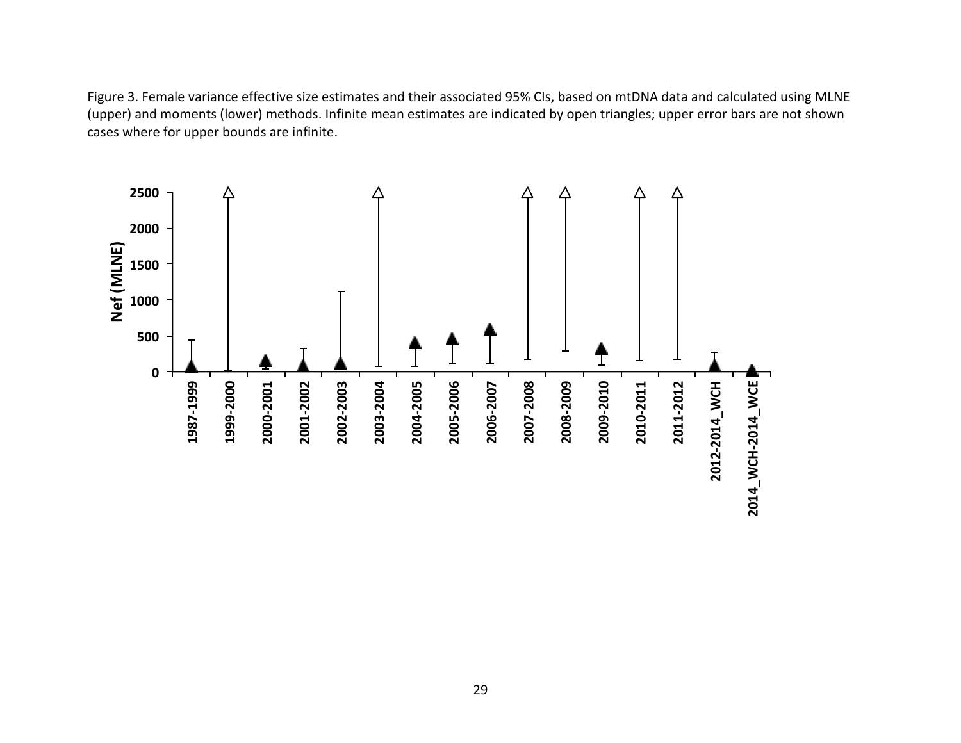Figure 3. Female variance effective size estimates and their associated 95% CIs, based on mtDNA data and calculated using MLNE (upper) and moments (lower) methods. Infinite mean estimates are indicated by open triangles; upper error bars are not shown cases where for upper bounds are infinite.

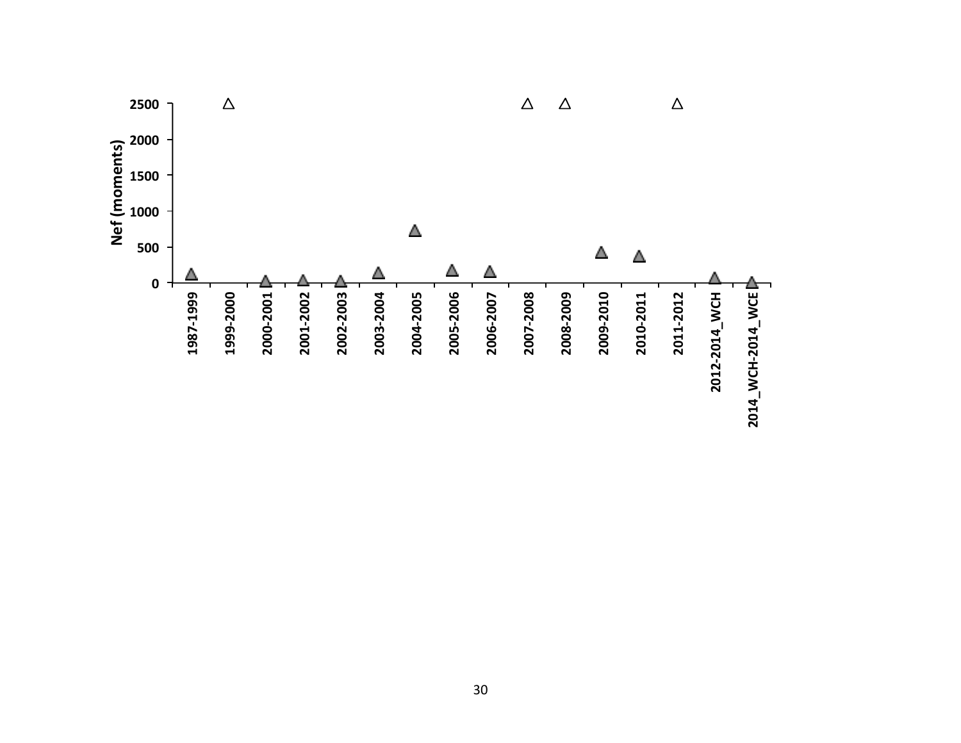